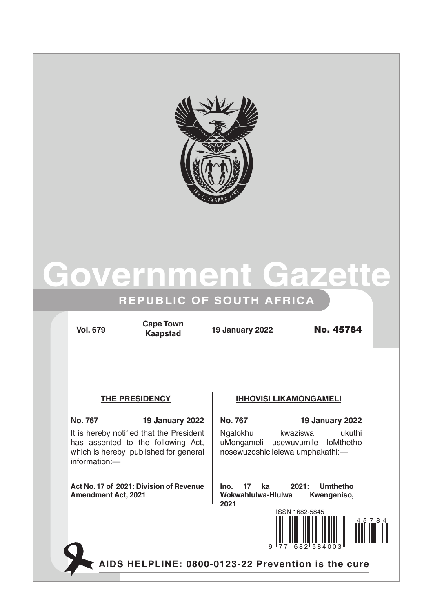



### **REPUBLIC OF SOUTH AFRICA**

**Vol. 679 19 January 2022** No. 45784 **Cape Town Kaapstad**

It is hereby notified that the President has assented to the following Act, which is hereby published for general information:—

**Act No. 17 of 2021: Division of Revenue Amendment Act, 2021**

### **The Presidency IHHOVISI LIKAMONGAMELI**

**No. 767 19 January 2022 No. 767 19 January 2022** Ngalokhu kwaziswa ukuthi uMongameli usewuvumile loMthetho nosewuzoshicilelewa umphakathi:—

> **Ino. 17 ka 2021: Umthetho Wokwahlulwa-Hlulwa Kwengeniso, 2021**



**AIDS HELPLINE: 0800-0123-22 Prevention is the cure**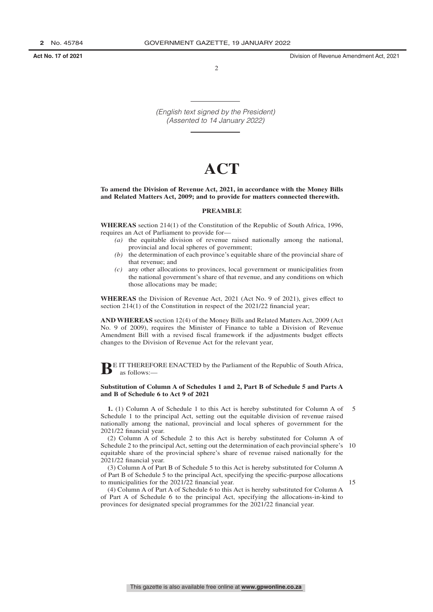**Act No. 17 of 2021** Division of Revenue Amendment Act, 2021

 $\overline{2}$ 

*(English text signed by the President) (Assented to 14 January 2022)*

### **ACT**

### **To amend the Division of Revenue Act, 2021, in accordance with the Money Bills and Related Matters Act, 2009; and to provide for matters connected therewith.**

### **PREAMBLE**

**WHEREAS** section 214(1) of the Constitution of the Republic of South Africa, 1996, requires an Act of Parliament to provide for—

- *(a)* the equitable division of revenue raised nationally among the national, provincial and local spheres of government;
- *(b)* the determination of each province's equitable share of the provincial share of that revenue; and
- *(c)* any other allocations to provinces, local government or municipalities from the national government's share of that revenue, and any conditions on which those allocations may be made;

**WHEREAS** the Division of Revenue Act, 2021 (Act No. 9 of 2021), gives effect to section 214(1) of the Constitution in respect of the 2021/22 financial year;

**AND WHEREAS** section 12(4) of the Money Bills and Related Matters Act, 2009 (Act No. 9 of 2009), requires the Minister of Finance to table a Division of Revenue Amendment Bill with a revised fiscal framework if the adjustments budget effects changes to the Division of Revenue Act for the relevant year,

**BE IT THEREFORE ENACTED by the Parliament of the Republic of South Africa,** as follows:—

### **Substitution of Column A of Schedules 1 and 2, Part B of Schedule 5 and Parts A and B of Schedule 6 to Act 9 of 2021**

**1.** (1) Column A of Schedule 1 to this Act is hereby substituted for Column A of Schedule 1 to the principal Act, setting out the equitable division of revenue raised nationally among the national, provincial and local spheres of government for the 2021/22 financial year. 5

(2) Column A of Schedule 2 to this Act is hereby substituted for Column A of Schedule 2 to the principal Act, setting out the determination of each provincial sphere's 10 equitable share of the provincial sphere's share of revenue raised nationally for the 2021/22 financial year.

(3) Column A of Part B of Schedule 5 to this Act is hereby substituted for Column A of Part B of Schedule 5 to the principal Act, specifying the specific-purpose allocations to municipalities for the 2021/22 financial year.

15

(4) Column A of Part A of Schedule 6 to this Act is hereby substituted for Column A of Part A of Schedule 6 to the principal Act, specifying the allocations-in-kind to provinces for designated special programmes for the 2021/22 financial year.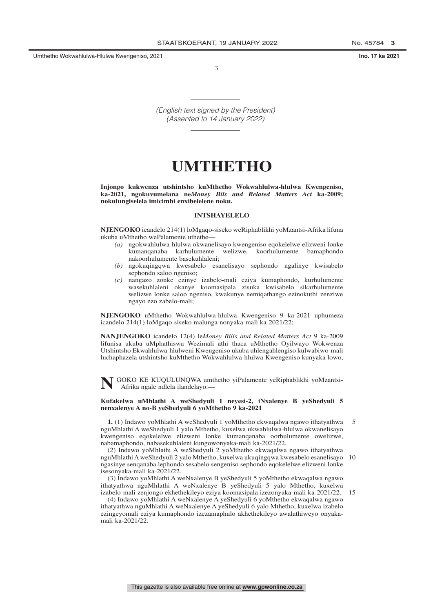Umthetho Wokwahlulwa-Hlulwa Kwengeniso, 2021 **Ino. 17 ka 2021**

3

*(English text signed by the President) (Assented to 14 January 2022)*

### **UMTHETHO**

**Injongo kukwenza utshintsho kuMthetho Wokwahlulwa-hlulwa Kwengeniso, ka-2021, ngokuvumelana ne***Money Bils and Related Matters Act* **ka-2009; nokulungiselela imicimbi enxibelelene noku.**

### **INTSHAYELELO**

**NJENGOKO** icandelo 214(1) loMgaqo-siseko weRiphablikhi yoMzantsi-Afrika lifuna ukuba uMthetho wePalamente uthethe—

- *(a)* ngokwahlulwa-hlulwa okwanelisayo kwengeniso eqokelelwe elizweni lonke kumanqanaba karhulumente welizwe, koorhulumente bamaphondo nakoorhulumente basekuhlaleni;
- *(b)* ngokuqingqwa kwesabelo esanelisayo sephondo ngalinye kwisabelo sephondo saloo ngeniso;
- *(c)* nangazo zonke ezinye izabelo-mali eziya kumaphondo, kurhulumente wasekuhlaleni okanye koomasipala zisuka kwisabelo sikarhulumente welizwe lonke saloo ngeniso, kwakunye nemiqathango ezinokuthi zenziwe ngayo ezo zabelo-mali;

**NJENGOKO** uMthetho Wokwahlulwa-hlulwa Kwengeniso 9 ka-2021 uphumeza icandelo 214(1) loMgaqo-siseko malunga nonyaka-mali ka-2021/22;

**NANJENGOKO** icandelo 12(4) le*Money Bills and Related Matters Act* 9 ka-2009 lifunisa ukuba uMphathiswa Wezimali athi thaca uMthetho Oyilwayo Wokwenza Utshintsho Ekwahlulwa-hlulweni Kwengeniso ukuba uhlengahlengiso kulwabiwo-mali luchaphazela utshintsho kuMthetho Wokwahlulwa-hlulwa Kwengeniso kunyaka lowo,

**N**GOKO KE KUQULUNQWA umthetho yiPalamente yeRiphablikhi yoMzantsi-Afrika ngale ndlela ilandelayo:—

### **Kufakelwa uMhlathi A weShedyuli 1 neyesi-2, iNxalenye B yeShedyuli 5 nenxalenye A no-B yeShedyuli 6 yoMthetho 9 ka-2021**

**1.** (1) Indawo yoMhlathi A weShedyuli 1 yoMthetho ekwaqalwa ngawo ithatyathwa nguMhlathi A weShedyuli 1 yalo Mthetho, kuxelwa ukwahlulwa-hlulwa okwanelisayo kwengeniso eqokelelwe elizweni lonke kumanqanaba oorhulumente owelizwe, nabamaphondo, nabasekuhlaleni kungowonyaka-mali ka-2021/22. 5

(2) Indawo yoMhlathi A weShedyuli 2 yoMthetho ekwaqalwa ngawo ithatyathwa nguMhlathi A weShedyuli 2 yalo Mthetho, kuxelwa ukuqingqwa kwesabelo esanelisayo 10 ngasinye senqanaba lephondo sesabelo sengeniso sephondo eqokelelwe elizweni lonke isesonyaka-mali ka-2021/22.

(3) Indawo yoMhlathi A weNxalenye B yeShedyuli 5 yoMthetho ekwaqalwa ngawo ithatyathwa nguMhlathi A weNxalenye B yeShedyuli 5 yalo Mthetho, kuxelwa izabelo-mali zenjongo ekhethekileyo eziya koomasipala izezonyaka-mali ka-2021/22. 15

(4) Indawo yoMhlathi A weNxalenye A yeShedyuli 6 yoMthetho ekwaqalwa ngawo ithatyathwa nguMhlathi A weNxalenye A yeShedyuli 6 yalo Mthetho, kuxelwa izabelo ezingeyomali eziya kumaphondo izezamaphulo akhethekileyo awalathiweyo onyakamali ka-2021/22.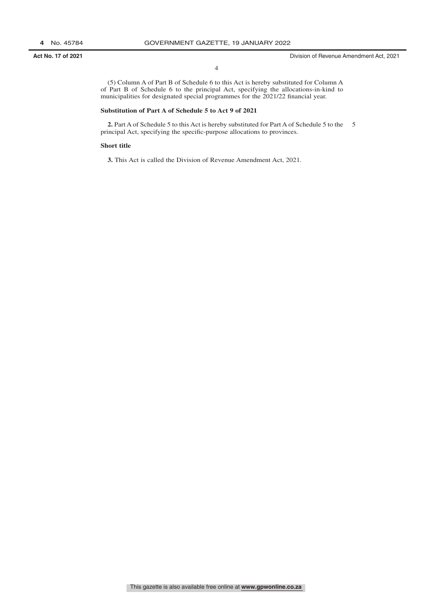**Act No. 17 of 2021** Division of Revenue Amendment Act, 2021

(5) Column A of Part B of Schedule 6 to this Act is hereby substituted for Column A of Part B of Schedule 6 to the principal Act, specifying the allocations-in-kind to municipalities for designated special programmes for the 2021/22 financial year.

### **Substitution of Part A of Schedule 5 to Act 9 of 2021**

2. Part A of Schedule 5 to this Act is hereby substituted for Part A of Schedule 5 to the 5 principal Act, specifying the specific-purpose allocations to provinces.

### **Short title**

**3.** This Act is called the Division of Revenue Amendment Act, 2021.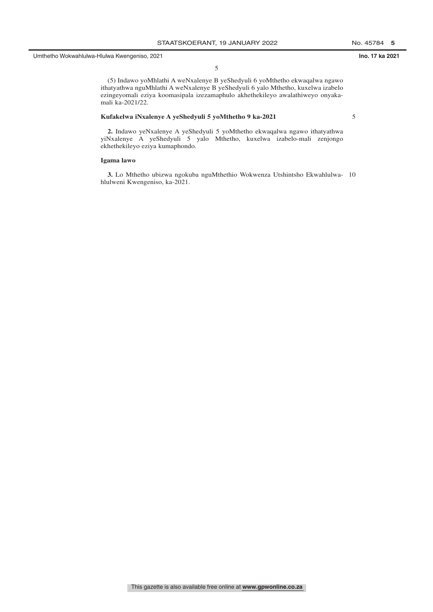(5) Indawo yoMhlathi A weNxalenye B yeShedyuli 6 yoMthetho ekwaqalwa ngawo ithatyathwa nguMhlathi A weNxalenye B yeShedyuli 6 yalo Mthetho, kuxelwa izabelo ezingeyomali eziya koomasipala izezamaphulo akhethekileyo awalathiweyo onyakamali ka-2021/22.

### **Kufakelwa iNxalenye A yeShedyuli 5 yoMthetho 9 ka-2021**

5

**2.** Indawo yeNxalenye A yeShedyuli 5 yoMthetho ekwaqalwa ngawo ithatyathwa yiNxalenye A yeShedyuli 5 yalo Mthetho, kuxelwa izabelo-mali zenjongo ekhethekileyo eziya kumaphondo.

### **Igama lawo**

**3.** Lo Mthetho ubizwa ngokuba nguMthethio Wokwenza Utshintsho Ekwahlulwa-10 hlulweni Kwengeniso, ka-2021.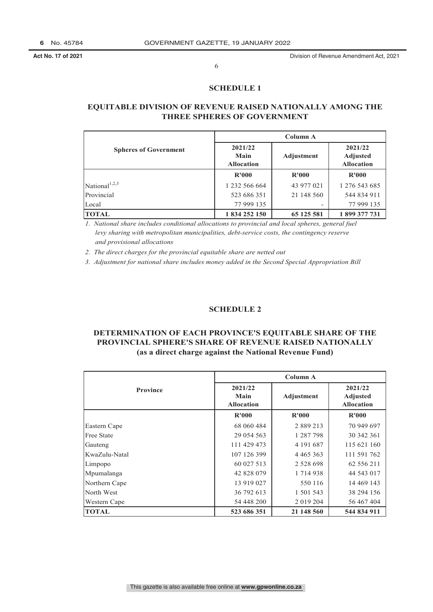### **SCHEDULE 1**

### **EQUITABLE DIVISION OF REVENUE RAISED NATIONALLY AMONG THE THREE SPHERES OF GOVERNMENT**

|                              |                                      | <b>Column A</b> |                                                 |
|------------------------------|--------------------------------------|-----------------|-------------------------------------------------|
| <b>Spheres of Government</b> | 2021/22<br>Main<br><b>Allocation</b> | Adjustment      | 2021/22<br><b>Adjusted</b><br><b>Allocation</b> |
|                              | R'000                                | R'000           | R'000                                           |
| National <sup>1,2,3</sup>    | 1 232 566 664                        | 43 977 021      | 1 276 543 685                                   |
| Provincial                   | 523 686 351                          | 21 148 560      | 544 834 911                                     |
| Local                        | 77 999 135                           |                 | 77 999 135                                      |
| <b>TOTAL</b>                 | 1 834 252 150                        | 65 125 581      | 1899 377 731                                    |

*1. National share includes conditional allocations to provincial and local spheres, general fuel 1. levy sharing with metropolitan municipalities, debt-service costs, the contingency reserve 1. and provisional allocations*

*2. The direct charges for the provincial equitable share are netted out*

*3. Adjustment for national share includes money added in the Second Special Appropriation Bill*

### **SCHEDULE 2**

### **DETERMINATION OF EACH PROVINCE'S EQUITABLE SHARE OF THE PROVINCIAL SPHERE'S SHARE OF REVENUE RAISED NATIONALLY (as a direct charge against the National Revenue Fund)**

|                   |                                      | Column A      |                                                 |
|-------------------|--------------------------------------|---------------|-------------------------------------------------|
| <b>Province</b>   | 2021/22<br>Main<br><b>Allocation</b> | Adjustment    | 2021/22<br><b>Adjusted</b><br><b>Allocation</b> |
|                   | R'000                                | R'000         | R'000                                           |
| Eastern Cape      | 68 060 484                           | 2 8 8 9 2 1 3 | 70 949 697                                      |
| <b>Free State</b> | 29 054 563                           | 1 287 798     | 30 342 361                                      |
| Gauteng           | 111 429 473                          | 4 191 687     | 115 621 160                                     |
| KwaZulu-Natal     | 107 126 399                          | 4 4 6 5 3 6 3 | 111 591 762                                     |
| Limpopo           | 60 027 513                           | 2 5 2 8 6 9 8 | 62 556 211                                      |
| Mpumalanga        | 42 828 079                           | 1 7 1 4 9 3 8 | 44 543 017                                      |
| Northern Cape     | 13 919 027                           | 550 116       | 14 469 143                                      |
| North West        | 36 792 613                           | 1 501 543     | 38 294 156                                      |
| Western Cape      | 54 448 200                           | 2 0 19 2 0 4  | 56 467 404                                      |
| <b>TOTAL</b>      | 523 686 351                          | 21 148 560    | 544 834 911                                     |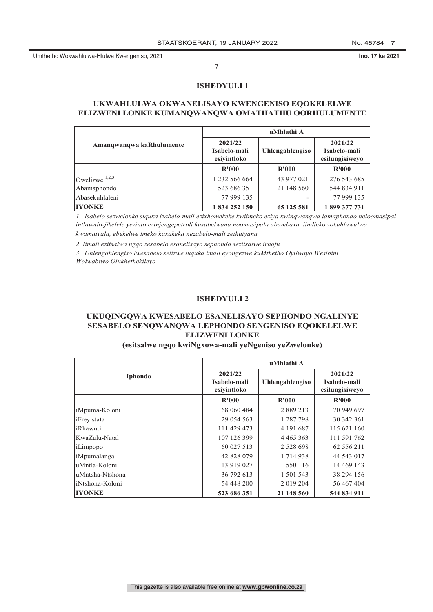### **ISHEDYULI 1**

### **UKWAHLULWA OKWANELISAYO KWENGENISO EQOKELELWE ELIZWENI LONKE KUMANQWANQWA OMATHATHU OORHULUMENTE**

|                          |                                        | uMhlathi A      |                                           |
|--------------------------|----------------------------------------|-----------------|-------------------------------------------|
| Amangwangwa kaRhulumente | 2021/22<br>Isabelo-mali<br>esivintloko | Uhlengahlengiso | 2021/22<br>Isabelo-mali<br>esilungisiweyo |
|                          | R'000                                  | R'000           | R'000                                     |
| Owelizwe $1,2,3$         | 1 232 566 664                          | 43 977 021      | 1 276 543 685                             |
| Abamaphondo              | 523 686 351                            | 21 148 560      | 544 834 911                               |
| Abasekuhlaleni           | 77 999 135                             | ۰               | 77 999 135                                |
| <b>IYONKE</b>            | 1834252150                             | 65 125 581      | 1899 377 731                              |

*1. Isabelo sezwelonke siquka izabelo-mali ezixhomekeke kwiimeko eziya kwinqwanqwa lamaphondo neloomasipal intlawulo-jikelele yezinto ezinjengepetroli kusabelwana noomasipala abambaxa, iindleko zokuhlawulwa kwamatyala, ebekelwe imeko kaxakeka nezabelo-mali zethutyana*

*2. Iimali ezitsalwa ngqo zesabelo esanelisayo sephondo sezitsalwe irhafu*

*3. Uhlengahlengiso lwesabelo selizwe luquka imali eyongezwe kuMthetho Oyilwayo Wesibini Wolwabiwo Olukhethekileyo*

### **ISHEDYULI 2**

### **UKUQINGQWA KWESABELO ESANELISAYO SEPHONDO NGALINYE SESABELO SENQWANQWA LEPHONDO SENGENISO EQOKELELWE ELIZWENI LONKE**

### **(esitsalwe ngqo kwiNgxowa-mali yeNgeniso yeZwelonke)**

|                 |                                        | uMhlathi A      |                                           |
|-----------------|----------------------------------------|-----------------|-------------------------------------------|
| <b>Iphondo</b>  | 2021/22<br>Isabelo-mali<br>esiyintloko | Uhlengahlengiso | 2021/22<br>Isabelo-mali<br>esilungisiweyo |
|                 | R'000                                  | R'000           | R'000                                     |
| iMpuma-Koloni   | 68 060 484                             | 2 889 213       | 70 949 697                                |
| iFrevistata     | 29 054 563                             | 1 287 798       | 30 342 361                                |
| iRhawuti        | 111 429 473                            | 4 191 687       | 115 621 160                               |
| KwaZulu-Natal   | 107 126 399                            | 4 4 6 5 3 6 3   | 111 591 762                               |
| iLimpopo        | 60 027 513                             | 2 5 2 8 6 9 8   | 62 556 211                                |
| iMpumalanga     | 42 828 079                             | 1 7 1 4 9 3 8   | 44 543 017                                |
| uMntla-Koloni   | 13 919 027                             | 550 116         | 14 469 143                                |
| uMntsha-Ntshona | 36 792 613                             | 1 501 543       | 38 294 156                                |
| iNtshona-Koloni | 54 448 200                             | 2 019 204       | 56 467 404                                |
| <b>IYONKE</b>   | 523 686 351                            | 21 148 560      | 544 834 911                               |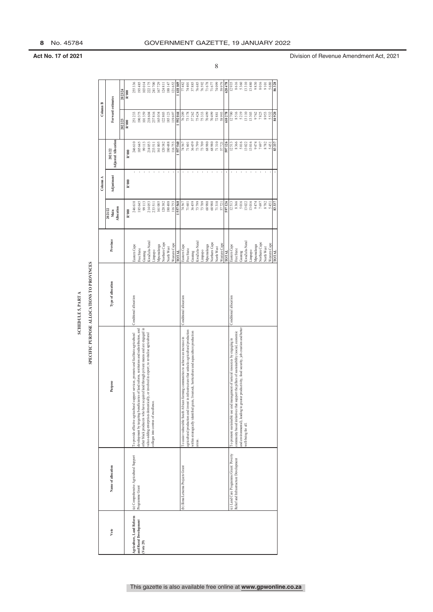|                                    |                                        |                                                                                                                                                                                        | <b>SCHEDULE 5, PART A</b>                 |                                 |                                    |            |                                       |                            |                               |
|------------------------------------|----------------------------------------|----------------------------------------------------------------------------------------------------------------------------------------------------------------------------------------|-------------------------------------------|---------------------------------|------------------------------------|------------|---------------------------------------|----------------------------|-------------------------------|
|                                    |                                        |                                                                                                                                                                                        | SPECIFIC PURPOSE ALLOCATIONS TO PROVINCES |                                 |                                    |            |                                       |                            |                               |
|                                    |                                        |                                                                                                                                                                                        |                                           |                                 |                                    | Column A   |                                       | Column B                   |                               |
| Vote                               | Name of allocation                     | Purpose                                                                                                                                                                                | Type of allocation                        | Province                        | <b>Mocation</b><br>2021/22<br>Main | Adjustment | <b>Adjusted Allocation</b><br>2021/22 | Forward estimates          |                               |
|                                    |                                        |                                                                                                                                                                                        |                                           |                                 |                                    |            |                                       | 2022/23                    | 2023/24                       |
|                                    |                                        |                                                                                                                                                                                        |                                           |                                 | R'000                              | R'000      | R'000                                 | R'000                      | R'000                         |
| Agriculture, Land Reform           | (a) Comprehensive Agricultural Support | To provide effective agricultural support services, promote and facilitate agricultural                                                                                                | Conditional allocation                    | iastern Cape                    | 246 610                            |            | 246 610                               | 251233                     | 255336                        |
| and Rural Development<br>(Vote 29) | Programme Grant                        | other black producers who have acquired land through private means and are engaged in<br>development by targeting beneficiaries of land reform, restitution and redistribution, and    |                                           | ree State                       | 185 645                            |            | 185 645                               | 190375                     | 193485                        |
|                                    |                                        | value-adding enterprises domestically, or involved in export; to revitalise agricultural                                                                                               |                                           | <b>CwaZulu-Natal</b><br>Gauteng | 99 113<br>214 053                  |            | 99 113<br>214 053                     | 218604<br>101359           | 103 014                       |
|                                    |                                        | colleges into centres of excellence.                                                                                                                                                   |                                           | ododurr                         |                                    |            | 233 511                               | 237816                     | 222 175<br>241 700<br>167 729 |
|                                    |                                        |                                                                                                                                                                                        |                                           | Mpumalanga                      | 233 511<br>161 005                 |            | 161 005                               | 165034                     |                               |
|                                    |                                        |                                                                                                                                                                                        |                                           | Vorthern Cape                   | 120382                             |            | 120 382                               | 122803                     | 124811                        |
|                                    |                                        |                                                                                                                                                                                        |                                           | <b>Vorth West</b>               | 180 488                            |            | 180 488                               | 185 123                    | 188 147                       |
|                                    |                                        |                                                                                                                                                                                        |                                           | <b>Nestern</b> Cape             | 116753                             |            |                                       | 119697                     | 121 652                       |
|                                    |                                        |                                                                                                                                                                                        |                                           | <b>TATOT</b>                    | 557 560                            |            | 116 753                               | 592044                     |                               |
|                                    | b) Ilima/Letsema Projects Grant        | To assist vulnerable South African farming communities to achieve an increase in                                                                                                       | Conditional allocation                    | Jastern Cape                    | $\frac{74}{71}$ $\frac{567}{601}$  |            |                                       | 76209                      |                               |
|                                    |                                        | agricultural production and invest in infrastructure that unlocks agricultural production<br>within strategically identified grain, livestock, horticulture and aquaculture production |                                           | Free State                      |                                    |            | $\frac{74}{70}$ 567                   | 73178<br>37262             | $\frac{77482}{74401}$         |
|                                    |                                        |                                                                                                                                                                                        |                                           | Gauteng                         | 36 459<br>73 790<br>73 709         |            | 36 459<br>73 799                      |                            |                               |
|                                    |                                        | areas.                                                                                                                                                                                 |                                           | KwaZulu-Natal                   |                                    |            |                                       | 75424                      | 76 685                        |
|                                    |                                        |                                                                                                                                                                                        |                                           | Limpopo                         |                                    |            | 73 709                                | 75333                      | $76592$                       |
|                                    |                                        |                                                                                                                                                                                        |                                           | Apumalanga                      | 68980                              |            | 68980                                 | 70499                      | 71678                         |
|                                    |                                        |                                                                                                                                                                                        |                                           | Vorthern Cape                   | 68980                              |            | 68 980                                |                            |                               |
|                                    |                                        |                                                                                                                                                                                        |                                           | <b>North West</b>               | 71310                              |            | 71310                                 | 70 499<br>72 881<br>58 993 | 71 677<br>74 099<br>59 979    |
|                                    |                                        |                                                                                                                                                                                        |                                           | <b>Nestern</b> Cape             | 57721                              |            | 57721                                 |                            |                               |
|                                    |                                        |                                                                                                                                                                                        |                                           | <b>LYTOL</b>                    | 597 126                            |            | 597 126                               | 610278                     | 620478                        |
|                                    | c) Land Care Programme Grant: Poverty  | To promote sustainable use and management of natural resources by engaging in                                                                                                          | Conditional allocation                    | Eastern Cape                    | 12513                              |            | 12513                                 | 12700                      | 12935                         |
|                                    | Relief and Infrastructure Development  | community based initiatives that support the pillars of sustainability (social, economic                                                                                               |                                           | Tee State                       | 8 366                              |            | 8 366                                 | 8516                       | 8616                          |
|                                    |                                        | and environmental), leading to greater productivity, food security, job creation and better                                                                                            |                                           | Gauteng                         | 5016                               |            | 5 016                                 | 5219                       | 5360                          |
|                                    |                                        | well-being for all.                                                                                                                                                                    |                                           | KwaZulu-Natal                   | 13 022                             |            | 13 022                                | 13110                      | 13310<br>13480                |
|                                    |                                        |                                                                                                                                                                                        |                                           | Limpopo                         | 13016                              |            | 13016                                 | 13303                      |                               |
|                                    |                                        |                                                                                                                                                                                        |                                           | Mpumalanga                      | 9474                               |            | 9474                                  | 9762                       | 9830                          |
|                                    |                                        |                                                                                                                                                                                        |                                           | Northern Cape                   | 7697                               |            | 7697                                  | 7825                       | 8016                          |
|                                    |                                        |                                                                                                                                                                                        |                                           | North West                      | 8782                               |            | 8782                                  | 8953                       | 9101                          |
|                                    |                                        |                                                                                                                                                                                        |                                           | Western Cape                    | 5451                               |            | 5451                                  | 5 5 3 2                    | 5680                          |
|                                    |                                        |                                                                                                                                                                                        |                                           | <b>FOTAL</b>                    | 83.337                             |            | 83.337                                | 84920                      | 86.328                        |

**Act No. 17 of 2021 Division of Revenue Amendment Act, 2021**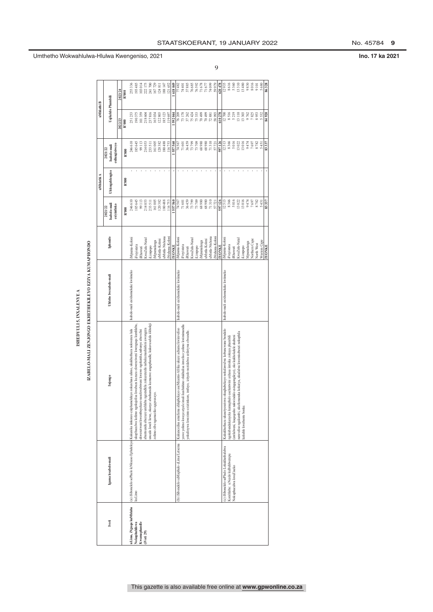### ISHEDYULI 5, INXALENYE A  **ISHEDYULI 5, INXALENYE A**

### IZABELO-MALI ZENJONGO EKHETHEKILEVO EZIYA KUMAPHONDO  **IZABELO-MALI ZENJONGO EKHETHEKILEYO EZIYA KUMAPHONDO**

|                        |                                        |                                                                                                                         |                                    |                      |                             | uMhlathi A      |                                | aNIhlathi B                   |                    |  |
|------------------------|----------------------------------------|-------------------------------------------------------------------------------------------------------------------------|------------------------------------|----------------------|-----------------------------|-----------------|--------------------------------|-------------------------------|--------------------|--|
|                        |                                        |                                                                                                                         |                                    |                      | 2021/22                     |                 | 2021/22                        |                               |                    |  |
| <b>Ivoti</b>           | Igama lesabelo-mali                    | Injongo                                                                                                                 | Uhlobo lwesabelo-mali              | Iphondo              | Isabelo-mali<br>esiyintloko | Uhlengahlengiso | esilungisiweyo<br>Isabelo-mali | Uqikelelo Phambili            |                    |  |
|                        |                                        |                                                                                                                         |                                    |                      |                             |                 |                                | 2022/23                       | 2023/24            |  |
|                        |                                        |                                                                                                                         |                                    |                      | R'000                       | R'000           | R'000                          | R'000                         | R'000              |  |
| iLimo, iNguqu kuMhlaba |                                        | (a) iSibonelelo sePhulo leNkxaso Epheleleyo Kukunika iinkonzo eziphumelelayo zokuxhasa ulimo, ukukhuthaza nokwenza lula | Isabelo-mali esixhomekeke kwiimeko | Mpuma-Koloni         | 246 610                     |                 | 246610                         | 251233                        | 255 336            |  |
| Nokuphuhliswa          | kuLimo                                 | ikuphuculwa kolimo ngokujolisa kwabaza kuzuza ekwenziweni kwenguqu kumhlaba                                             |                                    | Freyistata           | 185 645                     |                 | 185645                         | 190375                        | 193 485            |  |
| Kwamaphandle           |                                        | ekwenziweni kwembuyekezo nasekwabiweni kwawo ngokutsha,nabanye abavelisi                                                |                                    | Rhawuti              | 99 113                      |                 | 99113                          |                               | 103014             |  |
| (iVoti 29)             |                                        | ngeendlela zokuzenzela nabakumashishini awongeza<br>abantsundu abazuze umhlaba                                          |                                    | waZulu-Natal         | 214 053                     |                 | 214053                         | 101359<br>218 604<br>237 8 16 | 222 175<br>241 700 |  |
|                        |                                        | uncedo kweli lizwe, okanye abathumela kumazwe angaphandle; kukuvuselela iikholeji                                       |                                    | iLimpopo             | 233 511                     |                 | 233511                         |                               |                    |  |
|                        |                                        | zolimo zibe ngamaziko agqwesayo.                                                                                        |                                    | Mpumalanga           | 161 005                     |                 | 161005                         | 165034                        | 167729             |  |
|                        |                                        |                                                                                                                         |                                    | tMntla-Koloni        | 120382                      |                 | 120382                         | 122803                        | 124811             |  |
|                        |                                        |                                                                                                                         |                                    | aMntla-Ntshona       | 180 488                     |                 | 180488                         | 185123                        | 188 147            |  |
|                        |                                        |                                                                                                                         |                                    | Ntshona-Kolon        | 116753                      |                 | 116753                         | 19697                         | 121 652            |  |
|                        |                                        |                                                                                                                         |                                    | <b>YONKE</b>         | 557 560                     |                 | 557560                         | 592044                        | 618049             |  |
|                        | b) iSibonelelo saMaphulo eLima/Letsema | Kukuncedisa amafama ahluphekayo aseMzantsi-Afrika ukuze achume kwimveliso                                               | Isabelo-mali esixhomekeke kwiimeko | Mpuma-Koloni         | 74 567                      |                 | 74567                          | 76209                         | 77482              |  |
|                        |                                        | yawo yolimo kwaye atyale imali kushishino olukhulisa imveliso yolimo kwimimandla                                        |                                    | Freyistata           | 71 601                      |                 | 71601                          | 73178                         | 74 401             |  |
|                        |                                        | okulinywa kwezinto ezizinkozo, imfuyo, izityalo nezidalwa ezilotywa elwandle.                                           |                                    | Rhawuti              | 36 459                      |                 | 36459                          | 37262                         | 37885              |  |
|                        |                                        |                                                                                                                         |                                    | KwaZulu-Natal        | 73 799                      |                 | 73799                          | 75424                         | 76685              |  |
|                        |                                        |                                                                                                                         |                                    | iLimpopo             | 73 709                      |                 | 73709                          | 75333                         | 76592              |  |
|                        |                                        |                                                                                                                         |                                    | Mpumalanga           | 68980                       |                 | 68980                          | 70499                         | $71678$<br>71677   |  |
|                        |                                        |                                                                                                                         |                                    | aMntla-Koloni        | 68980                       |                 | 68980                          | 70499                         |                    |  |
|                        |                                        |                                                                                                                         |                                    | aMntla-Ntshona       | 71310                       |                 | 71310                          | 72881                         | 74099              |  |
|                        |                                        |                                                                                                                         |                                    | Ntshona-Kolon        | 57721                       |                 | 57721                          | 58993                         | 59979              |  |
|                        |                                        |                                                                                                                         |                                    | <b>INOVIKE</b>       | 597 126                     |                 | 597126                         | 510278                        | 620 478            |  |
|                        | c) iSibonelelo sePhulo Lokukhathalelwa | Kukukhuthaza ukusetyenziswa okuqhubekayo nokulawulwa kobuncwane bendalo                                                 | Isabelo-mali esixhomekeke kwiimeko | iMpuma-Koloni        | 12513                       |                 | 12513                          | 12700                         | 12935              |  |
|                        | Komhlaba: uNcedo kuBuhlwempu           | ngokubandakanyeka kumaphulo aseluntwini axhasa iintsika zokuya phambili                                                 |                                    | Freyistata           | 8 366                       |                 | 8366                           | 8516                          | 8616               |  |
|                        | Nokuphuculwa kweZiseko                 | entlalweni, kuqoqosho nakwindalo esingqongileyo), oko kukhokelele ekubeni                                               |                                    | Rhawuti              | 5016                        |                 | 5016                           | 5219                          | 5360               |  |
|                        |                                        | aemveliso ngakumbi, ukufumaneka kokutya, ukudalwa kwemisebenzi nokuphila                                                |                                    | <b>CwaZulu-Natal</b> | 13022                       |                 | 13022                          | 13110                         | 13310              |  |
|                        |                                        | cakuhle kwabantu bonke.                                                                                                 |                                    | Limpopo              | 13016                       |                 | 13016                          | 13303                         | 13480              |  |
|                        |                                        |                                                                                                                         |                                    | Apumalanga           | 9474                        |                 | 9474                           | 9762                          | 9830               |  |
|                        |                                        |                                                                                                                         |                                    | Vorthern Cape        | 7697                        |                 | 7697                           | 7825                          | 8016               |  |
|                        |                                        |                                                                                                                         |                                    | North West           | 8782                        |                 | 8782                           | 8953                          | 9101               |  |
|                        |                                        |                                                                                                                         |                                    | Western Cape         | 5451                        |                 | 5451                           | 5532                          | 5680               |  |
|                        |                                        |                                                                                                                         |                                    | <b>IMONKE</b>        | 83.337                      |                 | 83337                          | 84920                         | 86.328             |  |

9

Umthetho Wokwahlulwa-Hlulwa Kwengeniso, 2021

No. 45784 9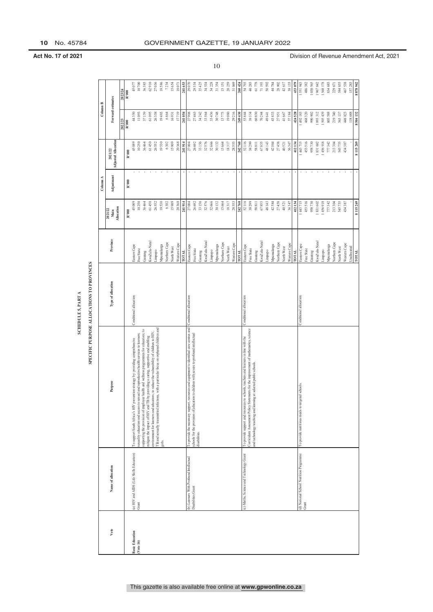| È |  |
|---|--|
|   |  |
| ś |  |
|   |  |
| u |  |
|   |  |
| i |  |
|   |  |
|   |  |
|   |  |
|   |  |
|   |  |
|   |  |
|   |  |
|   |  |
|   |  |

|                        |                                                               |                                                                                                                                                                                                                                                 | SPECIFIC PURPOSE ALLOCATIONS TO PROVINCES<br><b>SCHEDULE 5, PART A</b> |                             |                                      |                          |                                       |                   |                    |
|------------------------|---------------------------------------------------------------|-------------------------------------------------------------------------------------------------------------------------------------------------------------------------------------------------------------------------------------------------|------------------------------------------------------------------------|-----------------------------|--------------------------------------|--------------------------|---------------------------------------|-------------------|--------------------|
|                        |                                                               |                                                                                                                                                                                                                                                 |                                                                        |                             |                                      | Column A                 |                                       | Column B          |                    |
| Vote                   | Name of allocation                                            | Purpose                                                                                                                                                                                                                                         | Type of allocation                                                     | Province                    | <b>Allocation</b><br>2021/22<br>Main | Adjustment               | <b>Adjusted Allocation</b><br>2021/22 | Forward estimates |                    |
|                        |                                                               |                                                                                                                                                                                                                                                 |                                                                        |                             |                                      |                          |                                       | 2022/23           | 2023/24            |
|                        |                                                               |                                                                                                                                                                                                                                                 |                                                                        |                             | R'000                                | R'000                    | R'000                                 | $\rm R^*000$      | R'000              |
| <b>Basic Education</b> | (a) HIV and AIDS (Life Skills Education) $\rm{Gran}$          | To support South Africa's HIV prevention strategy by: providing comprehensive                                                                                                                                                                   | Conditional allocation                                                 | Eastern Cape                | 45 089                               |                          | 45 089                                | 44350             | 45077              |
| ( <i>Vect</i> 16)      |                                                               | sexuality education and access to sexual and reproductive health services to learners;                                                                                                                                                          |                                                                        | Free State                  | 10250                                |                          | 10250                                 | 11093             | 10700              |
|                        |                                                               | supporting the provision of employee health and wellness programmes for educators; to<br>mitigate the impact of HIV and TB by providing a caring, supportive and enabling                                                                       |                                                                        | Gauteng                     | 36 464                               |                          | 61 450<br>36 464                      | 37159<br>61095    | 36 385<br>62910    |
|                        |                                                               | environment for learners and educators; to reduce the vulnerability of children to HIV,                                                                                                                                                         |                                                                        | KwaZulu-Natal<br>Limpopo    | 61 450<br>26 552                     |                          | 26 552                                | 26358             | 27 036             |
|                        |                                                               | TB and sexually transmitted infections, with a particular focus on orphaned children and<br>girls.                                                                                                                                              |                                                                        | Mpumalanga                  | 19530                                |                          | 19530                                 | 19485             | 18586              |
|                        |                                                               |                                                                                                                                                                                                                                                 |                                                                        | Northern Cape               | 6302                                 |                          | 6302                                  | 6864              | 7234               |
|                        |                                                               |                                                                                                                                                                                                                                                 |                                                                        | <b>Vorth West</b>           | 15 909                               |                          | 15 909                                | 16931             | 15 654             |
|                        |                                                               |                                                                                                                                                                                                                                                 |                                                                        | Western Cape                | 20 368                               |                          | 20 368                                | 17719             | 18071              |
|                        |                                                               |                                                                                                                                                                                                                                                 |                                                                        | TOTAL                       | 241914                               |                          | 241914                                | 241054            | 241 653            |
|                        | (b) Learners With Profound Intellectual<br>Disabilities Grant | port, resources and equipment to identified care centres and<br>To provide the necessary support, resources and equipment to identified care centres<br>schools for the provision of education to children with severe to profound intellectual | Conditional allocation                                                 | Eastern Cape<br>Free State  | 27 004                               |                          | 27 004<br>$26\ 692$                   | 27908<br>27463    | 29334<br>29 070    |
|                        |                                                               | disabilities.                                                                                                                                                                                                                                   |                                                                        | Gauteng                     | 26 692<br>33 156                     |                          | 33 156                                | 34242             | 35 425             |
|                        |                                                               |                                                                                                                                                                                                                                                 |                                                                        | KwaZulu-Natal               | 32576                                |                          | 32576                                 | 33564             | 34 534             |
|                        |                                                               |                                                                                                                                                                                                                                                 |                                                                        | Limpopo                     | 32 666                               |                          | 32 666                                | 33436             | 34 228             |
|                        |                                                               |                                                                                                                                                                                                                                                 |                                                                        | Mpumalanga                  | 30 132                               |                          | 30 132                                | 30748             | 31354              |
|                        |                                                               |                                                                                                                                                                                                                                                 |                                                                        | Vorthern Cape               | 13664                                |                          | 13 664                                | 13773             | 15151              |
|                        |                                                               |                                                                                                                                                                                                                                                 |                                                                        | North West                  | 18317                                |                          | $\frac{18317}{28553}$                 | 19080             | 20259              |
|                        |                                                               |                                                                                                                                                                                                                                                 |                                                                        | Western Cape<br>TOTAL       | 28553                                |                          |                                       | 29216             | 31069              |
|                        | (c) Maths, Science and Technology Grant                       | To provide support and resources to schools, teachers and learners in line with the                                                                                                                                                             | Conditional allocation                                                 | Eastern Cape                | 52116<br>242760                      | $\overline{\phantom{a}}$ | 52 116<br>242 760                     | 249430<br>53844   | 260 424<br>54 793  |
|                        |                                                               | Curriculum Assessment Policy Statements for the improvement of mathematics, science                                                                                                                                                             |                                                                        | Free State                  | 38299                                |                          | 38 299                                | 39334             | 40 285             |
|                        |                                                               | and technology teaching and learning at selected public schools.                                                                                                                                                                                |                                                                        | Gauteng                     | 58 811                               |                          | 58 811                                | 60830             | $61\ 778$          |
|                        |                                                               |                                                                                                                                                                                                                                                 |                                                                        | KwaZulu-Natal               | 67855                                |                          | 67855                                 | 70244             | 71 193             |
|                        |                                                               |                                                                                                                                                                                                                                                 |                                                                        | Limpopo                     | 48143                                |                          | 48 143                                | 49 641            | 50 592             |
|                        |                                                               |                                                                                                                                                                                                                                                 |                                                                        | Mpumalanga                  | 42584                                |                          | 42 584                                | 43833             | 44 784             |
|                        |                                                               |                                                                                                                                                                                                                                                 |                                                                        | Northern Cape               | 27458                                |                          | 27 458                                | 27951             | 28 902             |
|                        |                                                               |                                                                                                                                                                                                                                                 |                                                                        | Western Cape<br>Vorth West  | 36347<br>40521                       |                          | 36 347<br>40 521                      | 41667<br>37184    | 42617<br>38 135    |
|                        |                                                               |                                                                                                                                                                                                                                                 |                                                                        | TOTAL                       | 412134                               |                          | 412 134                               | 424528            | 433 079            |
|                        | (d) National School Nutrition Programme<br>Grant              | To provide nutritious meals to targeted schools                                                                                                                                                                                                 | Conditional allocation                                                 | Eastern Cape                | 1443715                              |                          | 1443715                               | 1492183           | 1551943            |
|                        |                                                               |                                                                                                                                                                                                                                                 |                                                                        | Free State                  | 453516                               |                          | 453 516                               | 468320            | 486 382            |
|                        |                                                               |                                                                                                                                                                                                                                                 |                                                                        | Gauteng                     | 958730                               |                          | 958 730                               | 990902            | 030 565            |
|                        |                                                               |                                                                                                                                                                                                                                                 |                                                                        | KwaZulu-Natal               | 1831602                              |                          | 1831602                               | 1893312           | 967842             |
|                        |                                                               |                                                                                                                                                                                                                                                 |                                                                        | Limpopo                     | 1456918                              |                          | 1456918                               | 1505439           | 568 178            |
|                        |                                                               |                                                                                                                                                                                                                                                 |                                                                        | Mpumalanga                  | 777342                               |                          | 777 342                               | 803588            | 834 685            |
|                        |                                                               |                                                                                                                                                                                                                                                 |                                                                        | Northern Cape               | 213304                               |                          | 213 304                               | 219740            | 229 671            |
|                        |                                                               |                                                                                                                                                                                                                                                 |                                                                        | North West                  | 545 755<br>434387                    |                          | 545 755<br>434 387                    | 563137<br>448823  | 584 855<br>467 538 |
|                        |                                                               |                                                                                                                                                                                                                                                 |                                                                        | Western Cape<br>Unallocated |                                      |                          |                                       | 118688            | 157 283            |
|                        |                                                               |                                                                                                                                                                                                                                                 |                                                                        | <b>ТОТАL</b>                | 8115269                              |                          | 8 115 269                             | 8504132           | 8878942            |
|                        |                                                               |                                                                                                                                                                                                                                                 |                                                                        |                             |                                      |                          |                                       |                   |                    |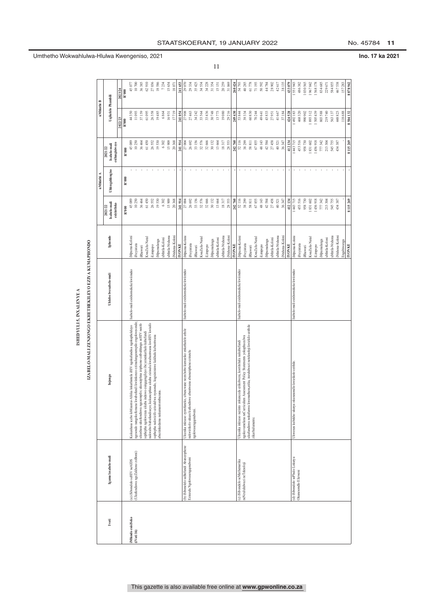| <b>NAME OF</b>  |  |
|-----------------|--|
|                 |  |
|                 |  |
|                 |  |
| í               |  |
|                 |  |
|                 |  |
|                 |  |
|                 |  |
| <b>NHEDYULA</b> |  |
|                 |  |
|                 |  |
|                 |  |
|                 |  |

|                   |                                         |                                                                                                                                                            | ISHEDYULI 5, INXALENYE 4                             |                                  |                                       |                 |                                           |                     |                  |
|-------------------|-----------------------------------------|------------------------------------------------------------------------------------------------------------------------------------------------------------|------------------------------------------------------|----------------------------------|---------------------------------------|-----------------|-------------------------------------------|---------------------|------------------|
|                   |                                         |                                                                                                                                                            | IZABELO-MALI ZENJONGO EKHETHEKILEYO EZIYA KUMAPHONDO |                                  |                                       |                 |                                           |                     |                  |
|                   |                                         |                                                                                                                                                            |                                                      |                                  |                                       | uMhlathi A      |                                           | uMhlathi B          |                  |
| Ivoti             | Igama lesabelo-mali                     | Injongo                                                                                                                                                    | Uhlobo lwesabelo-mali                                | Iphondo                          | sabelo-mali<br>esivintloko<br>2021/22 | Uhlengahlengiso | Isabelo-mali<br>esilungisiweyo<br>2021/22 | Uqikelelo Phambili  |                  |
|                   |                                         |                                                                                                                                                            |                                                      |                                  |                                       |                 |                                           | 2022/23             | 2023/24          |
|                   |                                         |                                                                                                                                                            |                                                      |                                  | R'000                                 | R'000           | R'000                                     | R'000               | R'000            |
| iMfundo esisiSeko | (a) iSibonelelo seHIV neAIDS            | Kukuxhasa icebo loMzantsi-Afrika lokuthintela iHIV ngokufundisa ngokupheleleyo                                                                             | Isabelo-mali esixhomekeke kwiimeko                   | iMpuma-Koloni                    | 45 089                                |                 | 45 089                                    | 44 350              | 45077            |
| (Vot16)           | (Ukufundiswa ngeZakhono zoBomi)         | ngesondo nangokufumana kwabafundi kwiinkonzo ezimalunganempilo engokwesondo;                                                                               |                                                      | Freyistata                       | 10 250                                |                 | 10250                                     | 11093               | 10700            |
|                   |                                         | akuxhasa ukufundiswa ngezempilo; ukunciphisa iziphumo ezibuhlungu zeHIV nesifo                                                                             |                                                      | <b>Rhawuti</b>                   | 36 464                                |                 | 36 464                                    | 37 159              | 36385            |
|                   |                                         | nakwabo babafundisayo; kukunciphisa ukuba zizisulu kwabantwana kwiHIV kwisifo<br>sephepha ngokwenza ukuba indawo esingqongileyo ibe yenenkathalo kubafundi |                                                      | KwaZulu-Natal                    | 61 450                                |                 | 61 450                                    | 61 095              | 62910            |
|                   |                                         | sephepha nakwizifo ezisulelwa nyesondo, kugxininiswe kakhulu kubantwana                                                                                    |                                                      | iLimpopo                         | 26 552                                |                 | 26 552                                    | 26358               | 27036            |
|                   |                                         | abaziinkedama nakumantombazana.                                                                                                                            |                                                      | aMntla-Koloni<br>iMpumalanga     | 19530<br>6302                         |                 | 19530<br>6302                             | 19485<br>6864       | 18586<br>7234    |
|                   |                                         |                                                                                                                                                            |                                                      | uMntla-Ntshona                   | 15 909                                |                 | 15 909                                    | 16931               | 15654            |
|                   |                                         |                                                                                                                                                            |                                                      | iNtshona-Koloni                  | 20 368                                |                 | 20368                                     | 17719               | 18071            |
|                   |                                         |                                                                                                                                                            |                                                      | <b>INONE</b>                     | 241914                                |                 | 241914                                    | 241054              | 241653           |
|                   | (b) iS ibonelelo saBafundi Abaneziphene | Ukunika inkxaso eyimfuneko, ubuncwane nezixhobo kumaziko enkathalelo athile                                                                                | Isabelo-mali esixhomekeke kwiimeko                   | iMpuma-Koloni                    | 27 004                                |                 | 27 004                                    | 27 908              | 29070            |
|                   | Ezinzulu Ngokwasengqondweni             | nakwizikolo ukuze kufundiswe abantwana abaneziphene ezinzulu<br>ngokwasengqondweni.                                                                        |                                                      | Freyistata                       | 26 692                                |                 | 26 692                                    | 27 463              | 29334            |
|                   |                                         |                                                                                                                                                            |                                                      | KwaZulu-Natal<br><b>iRhawuti</b> | 32576<br>33 156                       |                 | 33 156<br>32 576                          | $34\,242$<br>33 564 | 35425<br>34534   |
|                   |                                         |                                                                                                                                                            |                                                      | adodur <sub>11</sub>             | 32 666                                |                 | 32 666                                    | 33 436              | 34228            |
|                   |                                         |                                                                                                                                                            |                                                      | Mpumalanga                       | 30 132                                |                 | 30 132                                    | 30748               | 31354            |
|                   |                                         |                                                                                                                                                            |                                                      | uMntla-Koloni                    | 13 664                                |                 | 13664                                     | 13773               | 15151            |
|                   |                                         |                                                                                                                                                            |                                                      | aMntla-Ntshona                   | 18317                                 |                 | 18317                                     | 19080               | 20259            |
|                   |                                         |                                                                                                                                                            |                                                      | iNtshona-Koloni                  | 28 553                                |                 | 28 553                                    | 29 21 6             | 31069            |
|                   |                                         |                                                                                                                                                            |                                                      | <b>INONE</b>                     | 242 760                               |                 | 242760                                    | 249430              | 260 424          |
|                   | (c) iSibonelelo seMathematika           | Ukunika inkxaso nezinto zokunceda ezikolweni, kootitshala nakubafundi                                                                                      | Isabelo-mali esixhomekeke kwiimeko                   | iMpuma-Koloni                    | 52 116                                |                 | 52116                                     | 53 844              | 54793            |
|                   | neNzulululwazi neTeknoloji              | ukufundiswa nokufunwa kwemathem,atika, inzululwazi neteknoloji kwizkilo ezithile<br>ngokuvumelana neCurriculum Assessment Policy Statements yokuphuculwa   |                                                      | Freyistata                       | 38 299                                |                 | 38 299                                    | 39 334              | 40285            |
|                   |                                         | zikarhulumente.                                                                                                                                            |                                                      | <b>iRhawuti</b>                  | 58 811                                |                 | 58 811                                    | 60830               | 61778            |
|                   |                                         |                                                                                                                                                            |                                                      | KwaZulu-Natal                    | 67855                                 |                 | 67855                                     | 70 244              | 71193<br>50592   |
|                   |                                         |                                                                                                                                                            |                                                      | iLimpopo                         | 48 143<br>42584                       |                 | 48 143<br>42584                           | 43833<br>49 641     | 44784            |
|                   |                                         |                                                                                                                                                            |                                                      | uMntla-Koloni<br>Mpumalanga      | 27 458                                |                 | 27458                                     | 27951               | 28902            |
|                   |                                         |                                                                                                                                                            |                                                      | aMntla-Ntshona                   | 40 521                                |                 | 40 52 1                                   | 41 667              | 42617            |
|                   |                                         |                                                                                                                                                            |                                                      | iNtshona-Koloni                  | 36 347                                |                 | 36 347                                    | 37 184              | 38135            |
|                   |                                         |                                                                                                                                                            |                                                      | <b>INOMKE</b>                    | 412 134                               |                 | 412 134                                   | 424528              | 433079           |
|                   | (d) iSibonelelo sePhulo Lokutya         | Ukwenza kubekho ukutya okunesondlo kwizikolo ezithile                                                                                                      | Isabelo-mali esixhomekeke kwiimeko                   | iMpuma-Koloni                    | 1443715                               |                 | 1 443 715                                 | 1492183             | 551943           |
|                   | Okunesondlo Elizweni                    |                                                                                                                                                            |                                                      | iFreyistata                      | 453 516                               |                 | 453 516                                   | 468320              | 486382           |
|                   |                                         |                                                                                                                                                            |                                                      | <b>iRhawuti</b>                  | 958 730                               |                 | 958 730                                   | 990902              | .030565          |
|                   |                                         |                                                                                                                                                            |                                                      | KwaZulu-Natal                    | 831602                                |                 | 1831602                                   | 893312              | 1967842          |
|                   |                                         |                                                                                                                                                            |                                                      | plining opo                      | 1456918                               |                 | 1456918                                   | 505 439             | 1568178          |
|                   |                                         |                                                                                                                                                            |                                                      | iMpumalanga                      | 777 342                               |                 | 777 342                                   | 803588              | 834685           |
|                   |                                         |                                                                                                                                                            |                                                      | uMntla-Koloni                    | 213 304                               |                 | 213 304                                   | 219740              | 229671           |
|                   |                                         |                                                                                                                                                            |                                                      | uMntla-Ntshona                   | 545 755                               |                 | 545 755                                   | 563 137             | 584855           |
|                   |                                         |                                                                                                                                                            |                                                      | iNtshona-Koloni<br>Engabiwanga   | 434 387                               |                 | 434 387                                   | 118 688<br>448823   | 467538<br>157283 |
|                   |                                         |                                                                                                                                                            |                                                      | <b>YONKE</b>                     | 8115769                               |                 | 8115769                                   | 504.137             | 8878947          |

### STAATSKOERANT, 19 January 2022 No. 45784 **11**

11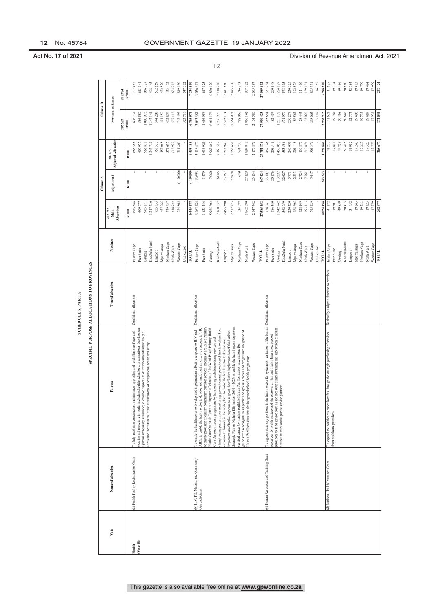| ł |   |
|---|---|
| ≾ |   |
|   |   |
| u | ł |
| Ê |   |
|   |   |
|   |   |
| Ē |   |
|   |   |
|   |   |
| ţ |   |
|   |   |

|           |                                                      |                                                                                                                                                                                      | SPECIFIC PURPOSE ALLOCATIONS TO PROVINCES<br>SCHEDULE 5, PART A |                             |                                      |                 |                                |                     |                    |
|-----------|------------------------------------------------------|--------------------------------------------------------------------------------------------------------------------------------------------------------------------------------------|-----------------------------------------------------------------|-----------------------------|--------------------------------------|-----------------|--------------------------------|---------------------|--------------------|
|           |                                                      |                                                                                                                                                                                      |                                                                 |                             |                                      | Column A        |                                | Column B            |                    |
| Vote      | Name of allocation                                   | Purpose                                                                                                                                                                              | Type of allocation                                              | Province                    | <b>Allocation</b><br>2021/22<br>Main | Adjustment      | Adjusted Allocation<br>2021/22 | Forward estimates   |                    |
|           |                                                      |                                                                                                                                                                                      |                                                                 |                             |                                      |                 |                                | 2022/23             | 2023/24            |
|           |                                                      |                                                                                                                                                                                      |                                                                 |                             | R'000                                | R'000           | R'000                          | R'000               | R'000              |
| Health    | (a) Health Facility Revitalisation Grant             | To help accelerate construction, maintenance, upgrading and rehabilitation of new and                                                                                                | Conditional allocation                                          | Eastern Cape                | 685 588                              |                 | 685 588                        | 676737              | 707462             |
| (Vote 18) |                                                      | existing infrastructure in health including, health technology, organisational development                                                                                           |                                                                 | Free State                  | 609 977                              |                 | 609 977                        | 586580              | 613141             |
|           |                                                      | ; to enhance capacity to deliver health infrastructure; to<br>requirements of occupational health and safety.<br>systems and quality assurance<br>accelerate the fulfilment of the   |                                                                 | Gauteng                     | 965 871                              |                 | 965 871                        | 1010976             | 1056727            |
|           |                                                      |                                                                                                                                                                                      |                                                                 | CwaZulu-Natal               | 247 730                              |                 | 1247730                        | 1347141             | 408 145            |
|           |                                                      |                                                                                                                                                                                      |                                                                 | Mpunalanga<br>Limpopo       | 755 533<br>457 065                   |                 | 755 533<br>457 065             | 544 205<br>404150   | 562 659<br>422 520 |
|           |                                                      |                                                                                                                                                                                      |                                                                 | Northern Cape               | 379 637                              |                 | 379 637                        | 452856              | 473 452            |
|           |                                                      |                                                                                                                                                                                      |                                                                 | North West                  | 618922                               |                 | 618922                         | 597118              | 624 202            |
|           |                                                      |                                                                                                                                                                                      |                                                                 | Western Cape                | 724 865                              | (10000)         | 714865                         | 742 492             | 819 190            |
|           |                                                      |                                                                                                                                                                                      |                                                                 | <b>Jnallocated</b>          |                                      |                 |                                | 523716              | 547 362            |
|           |                                                      |                                                                                                                                                                                      |                                                                 | <b>TOTAL</b>                | 6 445 188                            | 10000           | 6 435 188                      | 6885971             | 7234860            |
|           | (b) HIV, TB, Malaria and Community<br>Outreach Grant | AIDS; to enable the health sector to develop and implement an effective response to TB;<br>To enable the health sector to develop and implement an effective response to HIV and     | Conditional allocation                                          | Eastern Cape                | 3 062 784                            | 53 693          | 3 116 477                      | 3 093 381           | 3026917            |
|           |                                                      | community outreach services through Ward Based Primary<br>to ensure provision of quality                                                                                             |                                                                 | Free State                  | 1633 446                             | 3479            | 1636925                        | 1656958             | 1617125            |
|           |                                                      | to improve efficiencies of the Ward Based Primary Health<br>Health Care Outreach Teams:                                                                                              |                                                                 | Gauteng                     | 5 955 802                            | 7060            | 5 962 862                      | 6014176             | 5820120            |
|           |                                                      | strengthening performance monitoring; prevention and protection of health workers from<br>Care Outreach Teams programme by harmonising and standardising services and                |                                                                 | waZulu-Natal                | 7 160 537                            | 6045            | 7 166 582                      | 7276975             | 7118208            |
|           |                                                      | exposure to hazards in the work place; to enable the health sector to develop and                                                                                                    |                                                                 | Limpopo                     | 2 495 590                            | 23357           | 2518947                        | 2505174             | 2411860            |
|           |                                                      | Strategic Plan on Malaria Elimination 2019 - 2023; to enable the health sector to prevent<br>implement an effective response to support the effective implementation of the National |                                                                 | Mpumalanga                  | 2532773                              | 22878           | 2555 651                       | 2554973             | 2485920            |
|           |                                                      | cervical cancer by making available Human Papillomavirus vaccinations for                                                                                                            |                                                                 | Vorthern Cape               | 734 088                              | 649             | 734 737                        | 788066              | 736 343            |
|           |                                                      | grade seven school girls in all public and special schools and progressive integration of<br>Human Papillomavirus into the integrated school health programme.                       |                                                                 | North West                  | 1862 690                             | 27129           | 1889819                        | 1866142             | 1807722            |
|           |                                                      |                                                                                                                                                                                      |                                                                 | Western Cape                | 2 147 742                            | 23 134          | 2170876                        | 2154580             | 2065397            |
|           |                                                      |                                                                                                                                                                                      |                                                                 | тота                        | 27 585 452                           | 167424          | 27 752 876                     | 27910425            | 27089612           |
|           | (c) Human Resources and Training Grant               | To appoint statutory positions in the health sector for systematic realisation of the human                                                                                          | Conditional allocation                                          | Eastern Cape                | 426 081                              | 33 107          | 459 188                        | 365854              | 367 294            |
|           |                                                      | provinces to fund service costs associated with clinical training and supervision of health<br>esources for health strategy and the phase-in of National Health Insurance; support   |                                                                 | Free State                  | 186340                               | 20176           | 206 516                        | 182457              | 200648             |
|           |                                                      | science trainees on the public service platform.                                                                                                                                     |                                                                 | CwaZulu-Natal<br>Gauteng    | 1 342 762<br>562959                  | 113297<br>22627 | 1456059<br>585 586             | 1 295 178<br>571970 | 578935<br>1284827  |
|           |                                                      |                                                                                                                                                                                      |                                                                 | Limpopo                     | 230 320                              | 15771           | 246 091                        | 230279              | 230325             |
|           |                                                      |                                                                                                                                                                                      |                                                                 | Mpumalanga                  | 188 805                              | 12313           | 201 118                        | 188563              | 192578             |
|           |                                                      |                                                                                                                                                                                      |                                                                 | Northern Cape               | 128 149                              | 2724            | 130 873                        | 128443              | 121416             |
|           |                                                      |                                                                                                                                                                                      |                                                                 | North West                  | 193 113                              | 17761           | 210874                         | 193020              | 189 191            |
|           |                                                      |                                                                                                                                                                                      |                                                                 | Vestern Cape                | 795 929                              | 5447            | 801376                         | 818062<br>25149     | 26 255<br>805 331  |
|           |                                                      |                                                                                                                                                                                      |                                                                 | <b>Jnallocated</b><br>гота  | 4 054 458                            | 243 223         | 297 681                        | 3 998 975           | 3996800            |
|           | (d) National Health Insurance Grant                  | To expand the healthcare service benefits through the strategic purchasing of services                                                                                               | Nationally assigned function to provinces                       | Eastern Cape                | 41 272                               |                 | 41 272                         | 41621               | 41 635             |
|           |                                                      | from healthcare providers.                                                                                                                                                           |                                                                 | Free State                  | 19601                                |                 | 19601                          | 19767               | 19774              |
|           |                                                      |                                                                                                                                                                                      |                                                                 | Gauteng                     | 49859                                |                 | 49859                          | 50468               | 50 486             |
|           |                                                      |                                                                                                                                                                                      |                                                                 | CwaZulu-Natal               | 50 415                               |                 | 50 415                         | 50842               | 50 860             |
|           |                                                      |                                                                                                                                                                                      |                                                                 | Limpopo                     | 31952                                |                 | 31952                          | 32774               | 32784              |
|           |                                                      |                                                                                                                                                                                      |                                                                 | Northern Cape<br>Mpumalanga | 19 243<br>19233                      |                 | 19 243<br>19233                | 19406<br>19733      | 19413<br>19739     |
|           |                                                      |                                                                                                                                                                                      |                                                                 | North West                  | 19323                                |                 | 19323                          | 19487               | 19494              |
|           |                                                      |                                                                                                                                                                                      |                                                                 | Western Cape<br>TOTAL       | 17779                                |                 | 17779                          | 17933               | 17939              |
|           |                                                      |                                                                                                                                                                                      |                                                                 |                             | 268 677                              |                 | 268 677                        | 272031              | 272 124            |

**Act No. 17 of 2021 Division of Revenue Amendment Act, 2021**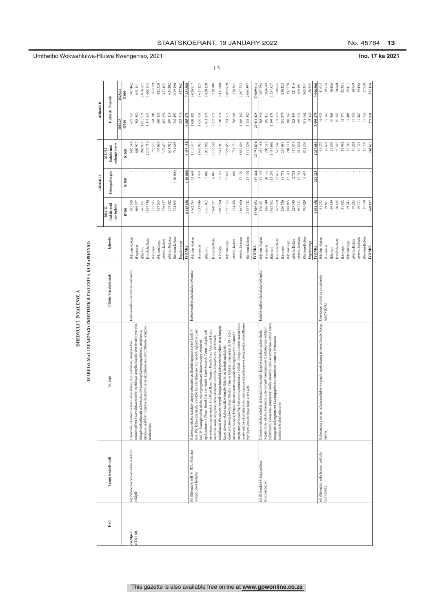| ï             |  |
|---------------|--|
|               |  |
| Ĭ             |  |
|               |  |
|               |  |
|               |  |
|               |  |
|               |  |
| ֚֡            |  |
|               |  |
| ֚֬֕<br>Į<br>í |  |
| ī             |  |
| i             |  |
|               |  |
|               |  |

| <b>The Second Second Second</b> |  |
|---------------------------------|--|
|                                 |  |
|                                 |  |
|                                 |  |
| j                               |  |
|                                 |  |
| :                               |  |
|                                 |  |
|                                 |  |
|                                 |  |
|                                 |  |
|                                 |  |
|                                 |  |
|                                 |  |
|                                 |  |
| ׇ֚֚֬֕                           |  |
|                                 |  |
|                                 |  |
|                                 |  |
| Š                               |  |
|                                 |  |
|                                 |  |
|                                 |  |
| <b>V Property Life</b>          |  |
|                                 |  |
|                                 |  |
|                                 |  |
|                                 |  |
|                                 |  |
|                                 |  |
|                                 |  |
|                                 |  |
|                                 |  |
|                                 |  |
| í                               |  |
|                                 |  |
|                                 |  |
|                                 |  |
|                                 |  |

|              |                                                             | SHEDYULI 5, INXALENYE A                                                                                                                                             |                                    |                                 |                                        |                 |                                           |                    |                    |
|--------------|-------------------------------------------------------------|---------------------------------------------------------------------------------------------------------------------------------------------------------------------|------------------------------------|---------------------------------|----------------------------------------|-----------------|-------------------------------------------|--------------------|--------------------|
|              |                                                             | IZABELO-MALI ZENJONGO EKHETHEKILEYO EZIYA KUMAPHONDO                                                                                                                |                                    |                                 |                                        |                 |                                           |                    |                    |
|              |                                                             |                                                                                                                                                                     |                                    |                                 |                                        | uMhlathi A      |                                           | uMhlathi B         |                    |
| <b>Ivoti</b> | Igama lesabelo-mali                                         | Injongo                                                                                                                                                             | Uhlobo lwesabelo-mali              | Iphondo                         | Isabelo-mali<br>esiyintloko<br>2021/22 | Uhlengahlengiso | esilungisiweyo<br>Isabelo-mali<br>2021/22 | Uqikelo Phambili   |                    |
|              |                                                             |                                                                                                                                                                     |                                    |                                 |                                        |                 |                                           | 20222              | 2023/24            |
|              |                                                             |                                                                                                                                                                     |                                    |                                 | R'000                                  | R'000           | R'000                                     | R'000              | R'000              |
| ezeMpilo     | (a) iSibonelelo Sokuvuselela iZakhiwo                       | Jkuncedisa ekukhawuleziseni ukwakhiwa, ukulondolozwa, ukuphuculwa                                                                                                   | Isabelo-mali esixhomekeke kwiimeko | Mpuma-Koloni                    | 685588                                 |                 | 685588                                    | 676737             | 707 462            |
| (Vot 18)     | zeMpilo                                                     | nokuvuselelwa kwezakliiwo ezintsha nezikhoyo zempilo, kuquka ezeteknoloji yempilo,                                                                                  |                                    | Freyistata                      | 609977                                 |                 | 609977                                    | 586 580            | 613 141            |
|              |                                                             | iinkqubozokuphucula nokwenziwa kwezintoi ngokusemgangathweni; ukuphucula                                                                                            |                                    | <b>Rhawuti</b>                  | 965871                                 | $\mathbf{r}$    | 965871                                    | 1010976            | $056\ 727$         |
|              |                                                             | ukukwazi izakhiwo zempilo ukukhawulezisa ukuzalisekiswa kweemfuneko zemp[ilo<br>nokhuseleko.                                                                        |                                    | KwaZulu-Natal                   | 247730                                 |                 | 247730                                    | 1347141            | 408 145            |
|              |                                                             |                                                                                                                                                                     |                                    | Limpopo                         | 755533                                 |                 | 755 533                                   | 544 205            | 562 659            |
|              |                                                             |                                                                                                                                                                     |                                    | ıMntla-Koloni<br>Mpumalanga     | 457065<br>379637                       |                 | 457065<br>379637                          | 452 856<br>404 150 | 422 520<br>473 452 |
|              |                                                             |                                                                                                                                                                     |                                    | ıMntla-Ntshona                  | 618922                                 |                 | 618922                                    | 597 118            | 624 202            |
|              |                                                             |                                                                                                                                                                     |                                    | Ntshona-Koloni                  | 724865                                 | (10000)         | 714865                                    | 742 492            | 819190             |
|              |                                                             |                                                                                                                                                                     |                                    | Engabiwanga                     |                                        |                 |                                           | 523716             | 547 362            |
|              |                                                             |                                                                                                                                                                     |                                    | <b>INONKE</b>                   | 6445188                                | (10000)         | 6435188                                   | 6885971            | 7234860            |
|              | (b) iSibonelelo seHIV, iTB, iMalariya<br>Nokuncedwa Koluntu | Kukwenza ukuba icandelo lempilo liphucuke lize lisabele ngendlela eyiyo kwiHIV                                                                                      | Isabelo-mali esixhomekeke kwiimeko | iMpuma-Koloni                   | 3 062 784                              | 53693           | 3116477                                   | 3 093 381          | 3026917            |
|              |                                                             | neAIDS; kukwenza ukuba icandelo lempilo liphucuke lize lisabele ngendlela eyiyo<br>kwiTB; kukuqinisekisa ukuba zisemgangathweni iinkonzo eziya eluntwini            |                                    | Freyistata                      | 1633446                                | 3479            | 1636925                                   | 1656958            | 1617125            |
|              |                                                             | ngokusebenzisa iWard Based Primary Health Care Outreach Team ; ukuphucula                                                                                           |                                    | <b>Rhawuti</b>                  | 5955802                                | 7060            | 5962862                                   | 6014176            | 5820120            |
|              |                                                             | ukusebenza ngempumelelo kweWard Based Primary Health Care Outreach Team<br>ngokuvisisanisa nangokomeleza ukubekwa eswenim kokusebenza; ukuthintela                  |                                    | CwaZulu-Natal                   | 7 160 537                              | 6045            | 7166582                                   | 7276975            | 7118208            |
|              |                                                             | nokukhusela abasebenzi bempilo bangachanabeki ezingozini kwindawo abaphangela                                                                                       |                                    | iLimpopo                        | 2 495 590                              | 23357           | 2518947                                   | 2505174            | 2411860            |
|              |                                                             | ekusetyenzisweni kweNational Strateic Plan on Malaria Elimination 2019 - 2-23;<br>kuyo; ukwenza ukuba icandelo lempilo likhule lize lisabele ngokukuko              |                                    | Mpumalanga                      | 2532773                                | 22878           | 2555651                                   | 2554973            | 2485920            |
|              |                                                             | ukunceda icandelo lempilo lithintele umhlaza wesibeleko ngokuyenza ifumaneke                                                                                        |                                    | Mntla-Koloni                    | 734088                                 | 649             | 734737                                    | 788066             | 736 343            |
|              |                                                             | imighomo yeHuman Papillomavirus kubantwana besikolo abangamantombazana kuzo                                                                                         |                                    | aMntla-Ntshona                  | 1862690                                | 27129           | 1889819                                   | 1866142            | 1807722            |
|              |                                                             | zonke izikolo zikarhulumente nezizimeleyo nokudiyaniswa okuqhubekayo kweHuman<br>Papillomavirus nephulo lempilo lezikolo.                                           |                                    | Ntshona-Koloni                  | 2 147 742                              | 23134           | 2170876                                   | 2154580            | 2065397            |
|              |                                                             |                                                                                                                                                                     |                                    | <b>INONE</b>                    | 27 585 452                             | 167424          | 27752876                                  | 27910425           | 27089612           |
|              | (c) iSibonelelo Sokuqeqeshwa<br>Kwabasebenzi                | Kukwenza ukuba kubekho izikhundla kwicandelo lempilo ezidalwe ngokomthetho                                                                                          | Isabelo-mali esixhomekeke kwiimeko | iMpuma-Koloni                   | 426081                                 | 33107           | 459188                                    | 365854             | 367 294            |
|              |                                                             | amaphondo ukuba ahlawule iindleko zeenkonzo ezinxu lumene<br>wepalamente lokuba kusebenze icebo lempilo lokungeniswa kwelnshorensi yeMpilo<br>yeZwelonke; kukuxhasa |                                    | Freyistata                      | 186340                                 | 20176           | 206516                                    | 182457             | 200648             |
|              |                                                             | noqeqesho nokongamelwa kwabaqeqeshelwa umsebenzi wempilo kwicandelo                                                                                                 |                                    | CwaZulu-Natal<br><b>Rhawuti</b> | 342762<br>562959                       | 113297<br>22627 | 1456059<br>585586                         | 295178<br>571970   | 578935<br>284827   |
|              |                                                             | lezibhedlele zikarhulumente.                                                                                                                                        |                                    | iLimpopo                        | 230320                                 | 15771           | 246091                                    | 230 279            | 230 325            |
|              |                                                             |                                                                                                                                                                     |                                    | Mpumalanga                      | 188805                                 | 12313           | 201118                                    | 188563             | 192578             |
|              |                                                             |                                                                                                                                                                     |                                    | ıMntla-Koloni                   | 128 149                                | 2724            | 130873                                    | 128443             | 121416             |
|              |                                                             |                                                                                                                                                                     |                                    | aMntla-Ntshona                  | 193113<br>795929                       | 5447<br>17761   | 210874                                    | 818062<br>193020   | 189191<br>805 331  |
|              |                                                             |                                                                                                                                                                     |                                    | Ntshona-Koloni<br>3ngabiwanga   |                                        |                 | 801376                                    | 25149              | 26 255             |
|              |                                                             |                                                                                                                                                                     |                                    | <b>YONKE</b>                    | 4054458                                | 243 223         | 4297681                                   | 3998975            | 3996800            |
|              | (d) iSibonelelo seInshorensi yeMpilo                        | Kukwandisa iinzuzuo zokunonophelwa kwempilo ngokuthenga iinkonzo kwabo bonga                                                                                        | Umsebenzi owabelwe amaphondo       | iMpuma-Koloni                   | 41272                                  |                 | 41272                                     | 41621              | 41 635             |
|              | yeZwelonke                                                  | nguZwelonke<br>impilo.                                                                                                                                              |                                    | Freyistata                      | 19601                                  |                 | 19601                                     | 19767              | 19774              |
|              |                                                             |                                                                                                                                                                     |                                    | <b>Rhawuti</b>                  | 49859                                  |                 | 49859                                     | 50468              | 50 486             |
|              |                                                             |                                                                                                                                                                     |                                    | KwaZulu-Natal                   | 50415<br>31952                         |                 | 50415<br>31952                            | 50842<br>32774     | 50 860<br>32 784   |
|              |                                                             |                                                                                                                                                                     |                                    | Mpumalanga<br>iLimpopo          | 19243                                  | $\bar{1}$       | 19243                                     | 19406              | 19413              |
|              |                                                             |                                                                                                                                                                     |                                    | aMntla-Koloni                   | 19233                                  |                 | 19233                                     | 19733              | 19739              |
|              |                                                             |                                                                                                                                                                     |                                    | uMntla-Ntshona                  | 19323                                  |                 | 19323                                     | 19487              | 19494              |
|              |                                                             |                                                                                                                                                                     |                                    | iNtshona-Koloni                 | 17779                                  |                 | 17779                                     | 17933              | 17939              |
|              |                                                             |                                                                                                                                                                     |                                    | <b>INONKE</b>                   | 268677                                 |                 | 268677                                    | 272 031            | 272 124            |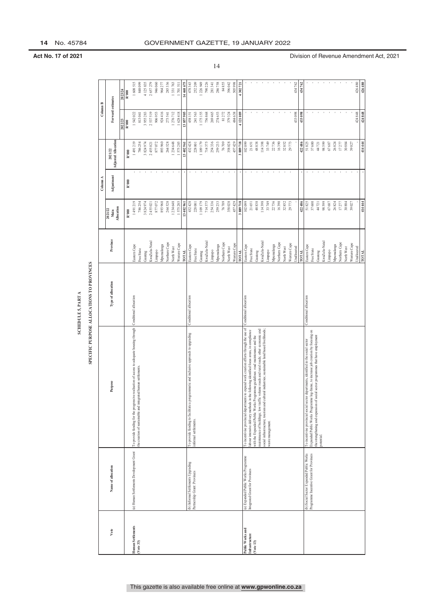|                                    |                                                                                    |                                                                                                                                                                                           | <b>SCHEDULE 5, PART A</b>                 |                             |                                      |            |                                                   |                   |                   |
|------------------------------------|------------------------------------------------------------------------------------|-------------------------------------------------------------------------------------------------------------------------------------------------------------------------------------------|-------------------------------------------|-----------------------------|--------------------------------------|------------|---------------------------------------------------|-------------------|-------------------|
|                                    |                                                                                    |                                                                                                                                                                                           | SPECIFIC PURPOSE ALLOCATIONS TO PROVINCES |                             |                                      |            |                                                   |                   |                   |
|                                    |                                                                                    |                                                                                                                                                                                           |                                           |                             |                                      | Column A   |                                                   | Column B          |                   |
| Vote                               | Name of allocation                                                                 | Purpose                                                                                                                                                                                   | Type of allocation                        | Province                    | <b>Allocation</b><br>2021/22<br>Main | Adjustment | <b>Adjusted Allocation</b><br>2021/22             | Forward estimates |                   |
|                                    |                                                                                    |                                                                                                                                                                                           |                                           |                             |                                      |            |                                                   | 2022/23           | 2023/24           |
|                                    |                                                                                    |                                                                                                                                                                                           |                                           |                             | R'000                                | R'000      | R'000                                             | R'000             | R'000             |
| Human Settlements                  | (a) Human Settlements Development Grant                                            | To provide funding for the progressive realisation of access to adequate housing through Conditional allocation                                                                           |                                           | Eastern Cape                | 1491219                              |            | 1491219                                           | 1542022           | 1 608 515         |
| $($ Vote 33 $)$                    |                                                                                    | the creation of sustainable and integrated human settlements.                                                                                                                             |                                           | Free State                  | 786 254                              |            | 786 254                                           | 813041            | 848099            |
|                                    |                                                                                    |                                                                                                                                                                                           |                                           | Gauteng                     | 3 824 974                            |            | 3 824 974                                         | 3955283           | 4 125 835         |
|                                    |                                                                                    |                                                                                                                                                                                           |                                           | KwaZulu-Natal               | 2 455 021                            |            | 2 455 021                                         | 2537519           | 2657279           |
|                                    |                                                                                    |                                                                                                                                                                                           |                                           | Limpopo                     | 877072                               |            | 877 072                                           | 906953            | 946060            |
|                                    |                                                                                    |                                                                                                                                                                                           |                                           | Northern Cape<br>Mpunalanga | 893 960<br>264 528                   |            | 893 960<br>264 528                                | 924416<br>273541  | 285 336<br>964277 |
|                                    |                                                                                    |                                                                                                                                                                                           |                                           | North West                  | 1 234 648                            |            | 1 234 648                                         | 1276712           | 1331763           |
|                                    |                                                                                    |                                                                                                                                                                                           |                                           | Western Cape                | 1 575 285                            |            | 1575285                                           | 1628418           | 1701511           |
|                                    |                                                                                    |                                                                                                                                                                                           |                                           | TOTAL                       | 13 402 961                           |            | 13 402 961                                        | 13857905          | 14 468 675        |
|                                    | (b) Informal Settlements Upgrading                                                 | To provide funding to facilitate a programmatic and inclusive approach to upgrading<br>informal settlements.                                                                              | Conditional allocation                    | Eastern Cape                | 432 428                              |            | 432 428                                           | 458151            | 478 343           |
|                                    | Partnership Grant: Provinces                                                       |                                                                                                                                                                                           |                                           | Free State                  | 228 001                              |            | 228 001                                           | 241563            | 252 209           |
|                                    |                                                                                    |                                                                                                                                                                                           |                                           | Gauteng                     | 1109179                              |            | 1109179                                           | 1175155           | 1 226 949         |
|                                    |                                                                                    |                                                                                                                                                                                           |                                           | KwaZulu-Natal               | 714375                               |            | 714 375                                           | 756868            | 790 226           |
|                                    |                                                                                    |                                                                                                                                                                                           |                                           | Limpopo                     | 254 336                              |            | 254 336                                           | 269 465           | 281341            |
|                                    |                                                                                    |                                                                                                                                                                                           |                                           | Mpumalanga                  | 259 233                              |            | 259 233                                           | 274653            | 286 758           |
|                                    |                                                                                    |                                                                                                                                                                                           |                                           | Northern Cape               | $76\ 709$                            |            | $76\ 709$                                         | 81272             | 84855             |
|                                    |                                                                                    |                                                                                                                                                                                           |                                           | North West                  | 358 028                              |            | 358 028                                           | 379324            | 396 042           |
|                                    |                                                                                    |                                                                                                                                                                                           |                                           | Western Cape                | 457 429                              |            | 457 429                                           | 484638            | 505 998           |
|                                    |                                                                                    |                                                                                                                                                                                           |                                           | TOTAL                       | 3 889 718                            |            | 889718                                            | 4121089           | 4302721           |
| Public Works and<br>Infrastructure | (a) Expanded Public Works Programme<br>Integrated Grant for Provinces              | artments to expand work creation efforts through the use of<br>labour intensive delivery methods in the following identified focus areas, in compliance<br>To incentivise provincial dep- | Conditional allocation                    | Eastern Cape                | 102099                               |            | 102 099                                           |                   |                   |
| (Vote 13)                          |                                                                                    | with the Expanded Public Works Programme guidelines: road maintenance and the                                                                                                             |                                           | Free State                  | 21651                                |            | 21651                                             |                   |                   |
|                                    |                                                                                    | maintenance of buildings; low traffic volume roads and rural roads; other economic and                                                                                                    |                                           | KwaZulu-Natal<br>Gauteng    | 48838<br>114398                      |            | 48838<br>114398                                   |                   |                   |
|                                    |                                                                                    | and cultural industries; sustainable land based livelihoods;<br>social infrastructure; tourism                                                                                            |                                           | Limpopo                     | 33 749                               |            | 33 749                                            |                   |                   |
|                                    |                                                                                    | waste management.                                                                                                                                                                         |                                           | Mpumalanga                  | 22736                                |            | 22736                                             |                   |                   |
|                                    |                                                                                    |                                                                                                                                                                                           |                                           | Northern Cape               | 16390                                |            | 16 390                                            |                   |                   |
|                                    |                                                                                    |                                                                                                                                                                                           |                                           | North West                  | 32852                                |            | $\begin{array}{c} 32\ 852 \\ 29\ 773 \end{array}$ |                   |                   |
|                                    |                                                                                    |                                                                                                                                                                                           |                                           | Western Cape                | 29 773                               |            |                                                   |                   |                   |
|                                    |                                                                                    |                                                                                                                                                                                           |                                           | Jnallocated                 |                                      |            |                                                   | 433098            | 434 762           |
|                                    |                                                                                    |                                                                                                                                                                                           |                                           | TOTAL                       | 422 486                              |            | 422 486                                           | 433098            | 434 762           |
|                                    | (b) Social Sector Expanded Public Works<br>Programme Incentive Grant for Provinces | Expanded Public Works Programme log-frame, to increase job creation by focusing on<br>To incentivise provincial social sector departments, identified in the social sector                | Conditional allocation                    | Eastern Cape                | 51825                                |            | 51825                                             |                   |                   |
|                                    |                                                                                    | the strengthening and expansion of social sector programmes that have employment                                                                                                          |                                           | Free State                  | 37,600                               |            | 37,600                                            |                   |                   |
|                                    |                                                                                    | potential.                                                                                                                                                                                |                                           | Gauteng                     | 98 599<br>44 721                     |            | 98 599<br>$44$ $721$                              |                   |                   |
|                                    |                                                                                    |                                                                                                                                                                                           |                                           | KwaZulu-Natal<br>Limpopo    | $67\ 687$                            |            | $67\;687$                                         | ٠                 |                   |
|                                    |                                                                                    |                                                                                                                                                                                           |                                           | Mpumalanga                  | 26824                                |            | 26824                                             |                   |                   |
|                                    |                                                                                    |                                                                                                                                                                                           |                                           | Northern Cape               | $17.277$                             |            | 17277                                             |                   |                   |
|                                    |                                                                                    |                                                                                                                                                                                           |                                           | North West                  | 30884                                |            | 30 884                                            |                   |                   |
|                                    |                                                                                    |                                                                                                                                                                                           |                                           | Western Cape                | 39 027                               |            | 39 027                                            |                   |                   |
|                                    |                                                                                    |                                                                                                                                                                                           |                                           | Unallocated                 |                                      |            |                                                   | 424848            | 426 480           |
|                                    |                                                                                    |                                                                                                                                                                                           |                                           | <b>TOTAL</b>                | 414 444                              |            | 414 444                                           | 424848            | 426 480           |

**Act No. 17 of 2021 Division of Revenue Amendment Act, 2021**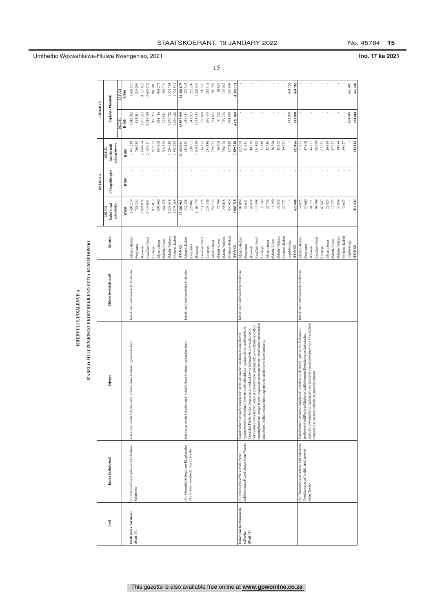| ٦                                                                                             |  |
|-----------------------------------------------------------------------------------------------|--|
|                                                                                               |  |
|                                                                                               |  |
|                                                                                               |  |
| <b>ANALISY</b>                                                                                |  |
|                                                                                               |  |
| ֦                                                                                             |  |
|                                                                                               |  |
|                                                                                               |  |
| ֚֚֚֬                                                                                          |  |
|                                                                                               |  |
| ֧֖֖֖֖֪֪֖֧֖֧֪֪֧֧֧֪֧֧֧֧֪֧֧֧֧֧֚֚֚֚֚֚֚֚֚֚֚֚֝֝֝֝֓֝֝֬֝֓֞֝֬֝֓֝֓֝֬֓֝֬֝֬֓֝֓֝֬֝֓֬֝֓֬֝֓֬֝֓֝֬֝֬֝֬֝֬֝֬֝֬֝֬ |  |
|                                                                                               |  |
|                                                                                               |  |
|                                                                                               |  |

|                         |                                                   |                                                                                                                                                             | ISHEDYULLI 5. INXAL ENYE A                           |                                   |                                        |                 |                                          |                    |                    |
|-------------------------|---------------------------------------------------|-------------------------------------------------------------------------------------------------------------------------------------------------------------|------------------------------------------------------|-----------------------------------|----------------------------------------|-----------------|------------------------------------------|--------------------|--------------------|
|                         |                                                   |                                                                                                                                                             | IZABELO-MALI ZENJONGO EKHETHEKILEYO EZIYA KUMAPHONDO |                                   |                                        |                 |                                          |                    |                    |
|                         |                                                   |                                                                                                                                                             |                                                      |                                   |                                        | uMhlathi A      |                                          | uMhlathi B         |                    |
| Ivoti                   | Igama lesabelo-mali                               | Injongo                                                                                                                                                     | Uhlobo lwesabelo-mali                                | Iphondo                           | Isabelo-mali<br>esiyintloko<br>2021/22 | Uhlengahlengiso | silungisiweyo<br>Isabelo-mali<br>2021/22 | Uqikelelo Phambili |                    |
|                         |                                                   |                                                                                                                                                             |                                                      |                                   |                                        |                 |                                          | 2022/23            | 2023/24            |
|                         |                                                   |                                                                                                                                                             |                                                      |                                   | $\mathbb{R}^{*}000$                    | R'000           | R'000                                    | R'000              | R'000              |
| Ukuhlaliswa Kwabantu    | (a) iSibonelelo Sokuphucula Ukuhlaliswa           | imali yokuhlaliswa kwbantu ngokuqhubekayo<br>Kukwenza ukuba kubekho                                                                                         | Isabelo-mali esixhomekeke kwiimeko                   | iMpuma-Koloni                     | 1491219                                |                 | 1491219                                  | 1542022            | 1608 515           |
| $($ i $Voti$ 33)        | Kwabantu                                          |                                                                                                                                                             |                                                      | iFreyistata                       | 786 254                                |                 | 786254                                   | 813041             | 848 099            |
|                         |                                                   |                                                                                                                                                             |                                                      | KwaZulu-Natal<br><b>Rhawuti</b>   | 3 824 974<br>2 455 021                 |                 | 3824974<br>2455021                       | 2537519<br>3955283 | 4125835<br>2657279 |
|                         |                                                   |                                                                                                                                                             |                                                      | iLimpopo                          | 877072                                 |                 | 877072                                   | 906953             | 946 060            |
|                         |                                                   |                                                                                                                                                             |                                                      | Mpumalanga                        | 893 960                                |                 | 893960                                   | 924416             | 964 277            |
|                         |                                                   |                                                                                                                                                             |                                                      | aMntla-Koloni                     | 264 528                                |                 | 264528                                   | 273541             | 285 336            |
|                         |                                                   |                                                                                                                                                             |                                                      | uMntla-Ntshona<br>iNtshona-Koloni | 1 234 648<br>1575285                   |                 | 1234648<br>1575285                       | 1276712<br>1628418 | 1331763<br>170151  |
|                         |                                                   |                                                                                                                                                             |                                                      | <b>IYONKE</b>                     | 13 402 961                             |                 | 13402961                                 | 13857905           | 14468675           |
|                         | (b) iSibonelelo Sobuqabane Ekuphuculeni           | Kukwenza ukuba kubekho imali yokuhlaliswa kwbantu ngokuqhubekayo                                                                                            | Isabelo-mali esixhomekeke kwiimeko                   | iMpuma-Koloni                     | 432 428                                |                 | 432428                                   | 458151             | 478 343            |
|                         | Ukuhlaliswa Kwabantu : Kumaphondo                 |                                                                                                                                                             |                                                      | Freyistata                        | 228 001                                |                 | 228001                                   | 241563             | 252 209            |
|                         |                                                   |                                                                                                                                                             |                                                      | iRhawuti                          | 1 109 179                              |                 | 1109179                                  | 1175155            | 1226949            |
|                         |                                                   |                                                                                                                                                             |                                                      | KwaZulu-Natal                     | 714375<br>254 336                      |                 | 714375<br>254336                         | 756868<br>269 465  | 790 226<br>281341  |
|                         |                                                   |                                                                                                                                                             |                                                      | iMpumalanga<br>I iL impopo        | 259 233                                |                 | 259233                                   | 274653             | 286 758            |
|                         |                                                   |                                                                                                                                                             |                                                      | uMntla-Koloni                     | $76\ 709$                              |                 | 76709                                    | 81272              | 84855              |
|                         |                                                   |                                                                                                                                                             |                                                      | ıMntla-Ntshona                    | 358028                                 |                 | 358028                                   | 379324             | 396 042            |
|                         |                                                   |                                                                                                                                                             |                                                      | Ntshona-Koloni                    | 457 429                                |                 | 457429                                   | 484638             | 505 998            |
|                         |                                                   |                                                                                                                                                             |                                                      | <b>INONE</b>                      | 3 889 718                              |                 | 3889718                                  | 4121089            | 430272             |
| Imisebenzi kaRhulumente | (a) iSibonelelo sePhulo leMisebenzi               | Kukukhuthaza amasebe amaphondo ukuba akunwebe ukudalwa kwemisebenzi                                                                                         | sabelo-mali esixhomekeke kwiimeko                    | iMpuma-Koloni                     | 102 099                                |                 | 102099                                   |                    |                    |
| neZiseko                | kaRhulumente Eyandisiweyo kumaPhondo              | kwimimandla elandelayo, ngokuvisisana nezikhokelo ze-<br>ngokusebenzisa izkhuthazi                                                                          |                                                      | Freyistata                        | 21651                                  |                 | 21651                                    |                    |                    |
| $(Voti 13)$             |                                                   | nokwakhiwa kwezakhiwo; iindlela ezinomthamo ophungukileyo wezithuthi neendlela<br>Expanded Public Works Programme: ukulondolozwa kweendlela zikwimeko entle |                                                      | iRhawuti                          | 48838                                  |                 | 48838                                    |                    |                    |
|                         |                                                   | zasemaphandleni; ezinye iziseko zoqoqosho nezasentlalweni; ukhenketho namashishini                                                                          |                                                      | KwaZulu-Natal                     | 114398                                 |                 | 114398                                   |                    |                    |
|                         |                                                   | enkcubeko, iindlela zokuziphilisa ngomhlaba; ukulawulwa kwenkunkuma.                                                                                        |                                                      | iMpumalanga<br>iLimpopo           | 33 749<br>22736                        |                 | 33749<br>22736                           |                    |                    |
|                         |                                                   |                                                                                                                                                             |                                                      | aMntla-Koloni                     | 16390                                  |                 | 16390                                    |                    |                    |
|                         |                                                   |                                                                                                                                                             |                                                      | aMntla-Ntshona                    | 32852                                  |                 | 32852                                    |                    |                    |
|                         |                                                   |                                                                                                                                                             |                                                      | Ntshona-Koloni                    | 29773                                  |                 | 29773                                    |                    |                    |
|                         |                                                   |                                                                                                                                                             |                                                      | Engabiwanga                       |                                        |                 |                                          | 433 098            | 434 762            |
|                         |                                                   |                                                                                                                                                             |                                                      | <b>INONE</b>                      | 422 486                                |                 | 422486                                   | 433 098            | 434 762            |
|                         | (b) iSibonelelo seMisebenzi kaRhulumente          | Kukukhuthaza amasebe amaphondo ecandelo laseluntwini, aphawulwe kwicandelo<br>laseluntwini kuliPhulo keMisebenzi kaRhulumente Eyandisiweyo; kukwandisa      | Isabelo-mali esixhomekeke kwiimeko                   | iMpuma-Koloni                     | 51825                                  |                 | 51825                                    |                    |                    |
|                         | Eyandisiweyo yeCandelo laseLuntwini<br>kumaPhondo | ukudalwa kwemisebenzi ngokugxininisa ekomelezweni nasekwandisweni kwamaphulo                                                                                |                                                      | iFreyistata                       | 37600                                  |                 | 37600                                    |                    |                    |
|                         |                                                   | ecandelo lase; luntwini athembisa ukuqesha abantu.                                                                                                          |                                                      | <b>Rhawuti</b>                    | 44 72 1                                |                 | 44721                                    |                    |                    |
|                         |                                                   |                                                                                                                                                             |                                                      | KwaZulu-Natal                     | 98 599                                 |                 | 98599                                    |                    |                    |
|                         |                                                   |                                                                                                                                                             |                                                      | iMpumalanga<br>iLimpopo           | 67687<br>26824                         |                 | 67687<br>26824                           |                    |                    |
|                         |                                                   |                                                                                                                                                             |                                                      | uMntla-Koloni                     | 17277                                  |                 | 17277                                    |                    |                    |
|                         |                                                   |                                                                                                                                                             |                                                      | uMntla-Ntshona                    | 30884                                  |                 | 30884                                    |                    |                    |
|                         |                                                   |                                                                                                                                                             |                                                      | iNtshona-Koloni                   | 39027                                  |                 | 39027                                    |                    |                    |
|                         |                                                   |                                                                                                                                                             |                                                      | Engabiwanga                       |                                        |                 |                                          | 424848             | 426 480            |
|                         |                                                   |                                                                                                                                                             |                                                      | <b>INONKE</b>                     | 414 44                                 |                 | 414444                                   | 424848             | 426 480            |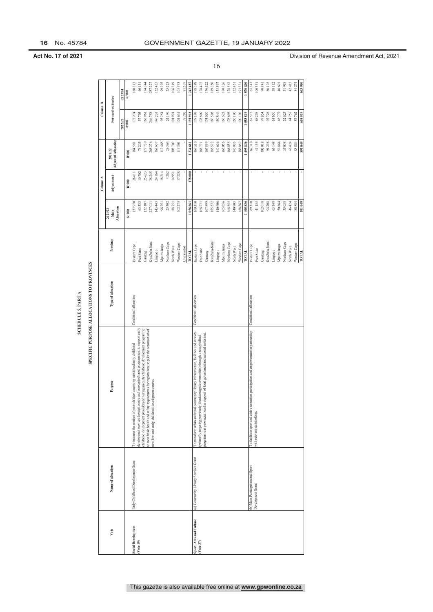|                           |                                      |                                                                                                                        | <b>SCHEDULE 5, PART A</b>                 |                     |                                    |              |                                       |                   |           |
|---------------------------|--------------------------------------|------------------------------------------------------------------------------------------------------------------------|-------------------------------------------|---------------------|------------------------------------|--------------|---------------------------------------|-------------------|-----------|
|                           |                                      |                                                                                                                        | SPECIFIC PURPOSE ALLOCATIONS TO PROVINCES |                     |                                    |              |                                       |                   |           |
|                           |                                      |                                                                                                                        |                                           |                     |                                    | Column A     |                                       | Column B          |           |
| Vote                      | Name of allocation                   | Purpose                                                                                                                | Type of allocation                        | Province            | <b>Mocation</b><br>2021/22<br>Main | Adjustment   | <b>Adjusted Allocation</b><br>2021/22 | Forward estimates |           |
|                           |                                      |                                                                                                                        |                                           |                     |                                    |              |                                       | 2022/23           | 2023/24   |
|                           |                                      |                                                                                                                        |                                           |                     | R'000                              | R'000        | R'000                                 | R'000             | R'000     |
| <b>Social Development</b> | Early Childhood Development Grant    | To increase the number of poor children accessing subsidised early childhood                                           | Conditional allocation                    | Eastern Cape        | 157 970                            | 26611        | 581<br>184                            | 172974            | 180313    |
| (Vote 19)                 |                                      | development services through centre and non-centre based programmes; to support early                                  |                                           | Free State          | 63 533                             | 10702        | 74 235                                | 57703             | 60151     |
|                           |                                      | childhood development providers delivering an early childhood development programme<br>to meet basic health and safety |                                           | Gauteng             | 152 107                            | 25623        | 177 730                               | 166961            | 74044     |
|                           |                                      | requirements for registration; to pilot the construction of<br>new low-cost early childhood development centres.       |                                           | KwaZulu-Natal       | 227 031                            | 38245        | 265 276                               | 246758            | 257227    |
|                           |                                      |                                                                                                                        |                                           | Limpopo             | 143 443                            | 24164        | $167\ 607$                            | 146231            | 152435    |
|                           |                                      |                                                                                                                        |                                           | Mpumalanga          | 96 251                             | 16214        | 112 465                               | 95254             | 99 295    |
|                           |                                      |                                                                                                                        |                                           | Northern Cape       | 25 302                             | 4262         | 29 564                                | 24196             | 25 223    |
|                           |                                      |                                                                                                                        |                                           | North West          | 88751                              | 14951        | 103 702                               | 101924            | 106 249   |
|                           |                                      |                                                                                                                        |                                           | Western Cape        | 102 273                            | 17228        | 119501                                | 101631            | 105 943   |
|                           |                                      |                                                                                                                        |                                           | Jnallocated         |                                    |              |                                       | 78286             | $81\ 607$ |
|                           |                                      |                                                                                                                        |                                           | тота                | 199961                             | 178000       | 234 661                               | 191918            | 1242487   |
| sport, Arts and Culture   | (a) Community Library Services Grant | To transform urban and rural community library infrastructure, facilities and services                                 | Conditional allocation                    | Eastern Cape        | 169 310                            |              | 169 310                               | 178199            | 178089    |
| (Vote 37)                 |                                      | disadvantaged communities) through a recapitalised<br>primarily targeting previously                                   |                                           | Free State          | 168 771                            | ٠            | 168 771                               | 178609            | 178472    |
|                           |                                      | rogramme at provincial level in support of local government and national initiatives.                                  |                                           | Gauteng             | 167899                             | ï            | 167899                                | 174050            | 176 522   |
|                           |                                      |                                                                                                                        |                                           | KwaZulu-Natal       | 185 572                            | $\mathbf{r}$ | 185 572                               | 186505            | 189 050   |
|                           |                                      |                                                                                                                        |                                           | Limpopo             | 140 606                            |              | 140 606                               | 150846            | 153 597   |
|                           |                                      |                                                                                                                        |                                           | Mpumalanga          | 165 056                            |              | 165 056                               | 166623            | 170726    |
|                           |                                      |                                                                                                                        |                                           | Vorthern Cape       | 168855                             |              | 168855                                | 178695            | 178 562   |
|                           |                                      |                                                                                                                        |                                           | North West          | 140 905                            |              | 140 905                               | 150190            | 152 451   |
|                           |                                      |                                                                                                                        |                                           | <b>Nestern</b> Cape | 188 862                            |              | 188 862                               | 190 102           | 193331    |
|                           |                                      |                                                                                                                        |                                           | TOTAL               | 495836                             |              | 495836                                | 553819            | 570 800   |
|                           | (b) Mass Participation and Sport     | To facilitate sport and active recreation participation and empowerment in partnership                                 | Conditional allocation                    | Eastern Cape        | 69 310                             |              | 69310                                 | 67515             | 63 343    |
|                           | Development Grant                    | with relevant stakeholders.                                                                                            |                                           | Free State          | 41 155                             |              | 41 155                                | 68258             | 100 351   |
|                           |                                      |                                                                                                                        |                                           | Gauteng             | 102018                             |              | 102018                                | 97854             | 90 841    |
|                           |                                      |                                                                                                                        |                                           | KwaZulu-Natal       | 94 208                             |              | 94 208                                | 92726             | 86 105    |
|                           |                                      |                                                                                                                        |                                           | Limpopo             | 63 148                             |              | 63 148                                | 61650             | 58 112    |
|                           |                                      |                                                                                                                        |                                           | Mpumalanga          | 50864                              |              | 50 864                                | 48772             | 46 601    |
|                           |                                      |                                                                                                                        |                                           | Northern Cape       | 35 038                             |              | 35 038                                | 32625             | 31918     |
|                           |                                      |                                                                                                                        |                                           | North West          | 46 424                             |              | 46 424                                | 44757             | 42415     |
|                           |                                      |                                                                                                                        |                                           | Western Cape        | 88884                              |              | 88884                                 | 87762             | 84 274    |
|                           |                                      |                                                                                                                        |                                           | <b>FOTAL</b>        | 501 049                            |              | 501 049                               | 601919            | 603 960   |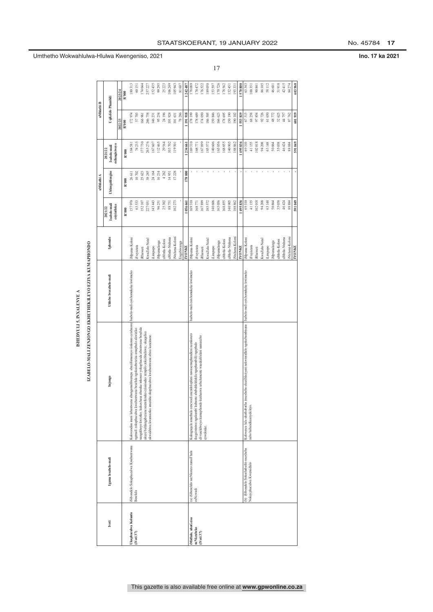| :                  |  |
|--------------------|--|
| ۶                  |  |
| Į                  |  |
| ֡֡֡֡֡֡֡֡           |  |
| ֡֡֡֡֡֡֡֡֡          |  |
|                    |  |
| i                  |  |
|                    |  |
|                    |  |
| ֚֬֓֓֡֡֡֡֡֡         |  |
|                    |  |
| $\frac{1}{2}$<br>í |  |
|                    |  |
|                    |  |
|                    |  |
|                    |  |

|                                   |                                       |                                                                                                                                                     | ISHEDYULI 5. INXALENYE A           |                |                                       |                        |                         |                    |           |  |
|-----------------------------------|---------------------------------------|-----------------------------------------------------------------------------------------------------------------------------------------------------|------------------------------------|----------------|---------------------------------------|------------------------|-------------------------|--------------------|-----------|--|
|                                   |                                       | IZABELO-MALI ZENJONGO EKHETHEKILEYO EZIYA KUMAPHONDO                                                                                                |                                    |                |                                       |                        |                         |                    |           |  |
|                                   |                                       |                                                                                                                                                     |                                    |                |                                       | uMhlathi A             |                         | uMhlathi B         |           |  |
| Ivoti                             | Igama lesabelo-mali                   | Injongo                                                                                                                                             | Uhlobo lwesabelo-mali              | Iphondo        | sabelo-mali<br>esiyintloko<br>2021/22 | <b>Uhlengahlengiso</b> | Isabelo-mali<br>2021/22 | Uqikelelo Phambili |           |  |
|                                   |                                       |                                                                                                                                                     |                                    |                |                                       |                        | silungisiweyo           | 2022/23            | 2023/24   |  |
|                                   |                                       |                                                                                                                                                     |                                    |                | R'000                                 | R'000                  | R'000                   | R'000              | R'000     |  |
| Ukuphuculwa Koluntu<br>(iVoti 37) | Sibonelelo Sokuphuculwa Kwabantwana   | Kukwandisa inani labantwana abangamahlwempu abazifumanayo iinkonzo ezixhaswe [Isabelo-mali esixhomekeke kwiimeko                                    |                                    | iMpuma-Koloni  | 157970                                | 26611                  | 184581                  | 172974             | 180313    |  |
|                                   | Beselula                              | ngemali zokuphuculwa kwabantwana beselula ngokusebenzisa amaphulo akwiziko                                                                          |                                    | Freyistata     | 63533                                 | 10702                  | 74235                   | 57 703             | 60 151    |  |
|                                   |                                       | nangekhoyo kwiziko; kukuxhasa abanika inkonzo yokuphucula abantwana beselula                                                                        |                                    | <b>Rhawuti</b> | 152107                                | 25623                  | 177730                  | 166961             | 174 044   |  |
|                                   |                                       | ukuze bahlangabezane neemfuneko ezisisiseko zempilo zokubhaliswa; ukuqalisa<br>ukwakhiwa kwamaziko amatsha okuphuculwa kwabantwana abiza kancinane. |                                    | CwaZulu-Natal  | 227031                                | 38245                  | 265276                  | 246758             | 257 227   |  |
|                                   |                                       |                                                                                                                                                     |                                    | iLimpopo       | 143 443                               | 24164                  | 167607                  | 146231             | 152 435   |  |
|                                   |                                       |                                                                                                                                                     |                                    | Mpumalanga     | 96251                                 | 16214                  | 112465                  | 95 254             | 99 295    |  |
|                                   |                                       |                                                                                                                                                     |                                    | aMntla-Koloni  | 25302                                 | 4262                   | 29564                   | 24196              | $25\ 223$ |  |
|                                   |                                       |                                                                                                                                                     |                                    | aMntla-Ntshona | 88751                                 | 14951                  | 103702                  | 101924             | 106249    |  |
|                                   |                                       |                                                                                                                                                     |                                    | Ntshona-Koloni | 102273                                | 17228                  | 119501                  | 101631             | 105 943   |  |
|                                   |                                       |                                                                                                                                                     |                                    | ingabiwanga    |                                       |                        |                         | 78286              | $81\,607$ |  |
|                                   |                                       |                                                                                                                                                     |                                    | <b>IYONKE</b>  | 056 661                               | 178000                 | 234 661                 | 191918             | 142.487   |  |
| iMidlalo, ubuGcisa                | (a) iSibonelelo seeNkonzo zamaThala   | Kukuguqula amathala eencwadi asezidolophini nawasemaphandleni neenkonzo                                                                             | Isabelo-mali esixhomekeke kwiimeko | iMpuma-Koloni  | 169310                                |                        | 169310                  | 178 199            | 178 089   |  |
| neNkcubeko                        | eeNcwadi                              | (kugcinini wa ngakumbi kubantu abebehlelelekile ngaphambili) ngephulo                                                                               |                                    | Freyistata     | 168771                                |                        | 168771                  | 178 609            | 178 472   |  |
| (Voti 37)                         |                                       | elivuselelweyo kumaphondo kuxhaswa urhulumente wasekuhlaleni namacebo<br>ezwelonke.                                                                 |                                    | Rhawuti        | 167899                                |                        | 167899                  | 174 050            | 176 522   |  |
|                                   |                                       |                                                                                                                                                     |                                    | KwaZulu-Natal  | 185572                                |                        | 185572                  | 186 505            | 189 050   |  |
|                                   |                                       |                                                                                                                                                     |                                    | Limpopo        | 140606                                |                        | 140606                  | 150846             | 153 597   |  |
|                                   |                                       |                                                                                                                                                     |                                    | Mpumalanga     | 165056                                |                        | 165056                  | 166 623            | 170726    |  |
|                                   |                                       |                                                                                                                                                     |                                    | ıMntla-Koloni  | 168855                                |                        | 168855                  | 178 695            | 178 562   |  |
|                                   |                                       |                                                                                                                                                     |                                    | ıMntla-Ntshona | 140905                                |                        | 140905                  | 150 190            | 152 451   |  |
|                                   |                                       |                                                                                                                                                     |                                    | Ntshona-Koloni | 188862                                |                        | 188862                  | 190 102            | 193 331   |  |
|                                   |                                       |                                                                                                                                                     |                                    | <b>IYONKE</b>  | 495836                                |                        | 495836                  | 553819             | 570 800   |  |
|                                   | (b) iSibonelelo Sokuthabathi-nxaxheba | inxaxheba ekuzihlaziyeni nakwimidlalo ngokubambisana<br>Kukwenza lula ukuthabatha                                                                   | Isabelo-mali esixhomekeke kwiimeko | Mpuma-Koloni   | 69310                                 |                        | 69310                   | 67515              | 63 343    |  |
|                                   | Nokuyphuculwa Kwemidlalo              | nabo babandkaanyekileyo.                                                                                                                            |                                    | Freyistata     | 41155                                 |                        | 41155                   | 68258              | 100 351   |  |
|                                   |                                       |                                                                                                                                                     |                                    | Rhawuti        | 102018                                |                        | 02018                   | 97854              | 90 841    |  |
|                                   |                                       |                                                                                                                                                     |                                    | KwaZulu-Natal  | 94 208                                |                        | 94208                   | 92726              | 86 105    |  |
|                                   |                                       |                                                                                                                                                     |                                    | iLimpopo       | 63148                                 |                        | 63148                   | 61650              | 58 112    |  |
|                                   |                                       |                                                                                                                                                     |                                    | iMpumalanga    | 50864                                 |                        | 50864                   | 48772              | 46 601    |  |
|                                   |                                       |                                                                                                                                                     |                                    | uMntla-Koloni  | 35038                                 |                        | 35038                   | 32625              | 31918     |  |
|                                   |                                       |                                                                                                                                                     |                                    | aMntla-Ntshona | 46424                                 |                        | 46424                   | 44757              | 42415     |  |
|                                   |                                       |                                                                                                                                                     |                                    | Ntshona-Koloni | 88884                                 |                        | 88884                   | 87762              | 84 274    |  |
|                                   |                                       |                                                                                                                                                     |                                    | <b>YONKE</b>   | 501 ft4                               |                        | 670.102                 | 601 919            | 603 960   |  |

### STAATSKOERANT, 19 JANUARY 2022 No. 45784 17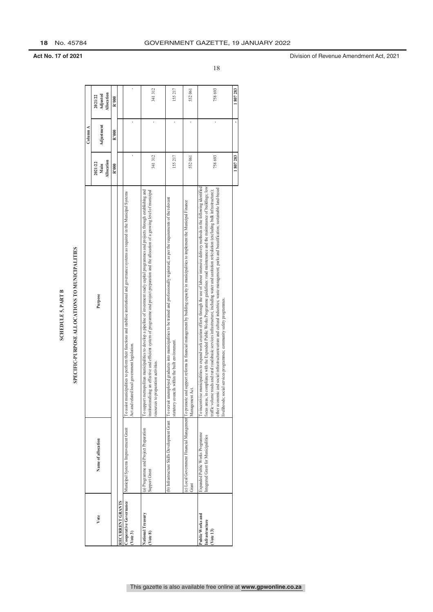| Ξ       |
|---------|
| Ę       |
|         |
|         |
|         |
| ı,<br>đ |
| Ġ,      |
|         |
|         |
|         |
| ć       |
|         |
|         |
|         |

|                           |                                                |          |                    |                    |            |       |                  |                                                                                                                                                                                                |                                                                                                                                                                                                                                                                                                                                         |                                                                                                                                                                                                                                          |                                                                                                                                     | 18                                                                                                                                                                                                                                                                                                                                                                                                                                                                                                                                                                                                                                                                 |        |
|---------------------------|------------------------------------------------|----------|--------------------|--------------------|------------|-------|------------------|------------------------------------------------------------------------------------------------------------------------------------------------------------------------------------------------|-----------------------------------------------------------------------------------------------------------------------------------------------------------------------------------------------------------------------------------------------------------------------------------------------------------------------------------------|------------------------------------------------------------------------------------------------------------------------------------------------------------------------------------------------------------------------------------------|-------------------------------------------------------------------------------------------------------------------------------------|--------------------------------------------------------------------------------------------------------------------------------------------------------------------------------------------------------------------------------------------------------------------------------------------------------------------------------------------------------------------------------------------------------------------------------------------------------------------------------------------------------------------------------------------------------------------------------------------------------------------------------------------------------------------|--------|
|                           |                                                |          | 2021/22            | Adjusted           | Allocation | R'000 |                  |                                                                                                                                                                                                | 341312                                                                                                                                                                                                                                                                                                                                  | 155217                                                                                                                                                                                                                                   | 552061                                                                                                                              | 758693                                                                                                                                                                                                                                                                                                                                                                                                                                                                                                                                                                                                                                                             | 807283 |
|                           |                                                | Column A |                    | Adjustment         |            | R'000 |                  |                                                                                                                                                                                                | ï                                                                                                                                                                                                                                                                                                                                       | 1                                                                                                                                                                                                                                        |                                                                                                                                     |                                                                                                                                                                                                                                                                                                                                                                                                                                                                                                                                                                                                                                                                    |        |
|                           |                                                |          | 2021/22            | Allocation<br>Main |            | R'000 |                  |                                                                                                                                                                                                | 341312                                                                                                                                                                                                                                                                                                                                  | 155217                                                                                                                                                                                                                                   | 552061                                                                                                                              | 758693                                                                                                                                                                                                                                                                                                                                                                                                                                                                                                                                                                                                                                                             | 807283 |
| <b>SCHEDULE 5, PART B</b> | SPECIFIC-PURPOSE ALLOCATIONS TO MUNICIPALITIES |          | Purpose            |                    |            |       |                  | To assist municipalities to perform their functions and stabilise institutional and governance systems as required in the Municipal Systems<br>local government legislation<br>Act and related | ppolitan municipalities to develop a pipeline of investment ready capital programmes and projects through establishing and<br>an effective and efficient system of programme and project preparation and the allocation of a growing level of municipal<br>resources to preparation activities<br>To support metro<br>nstitutionalising | (b) Infrastructure Skills Development Grant  To recruit unemployed graduates into municipalities to be trained and professionally registered, as per the requirements of the relevant<br>tatutory councils within the built environment. | support reforms in financial management by building capacity in municipalities to implement the Municipal Finance<br>Management Act | focus areas, in compliance with the Expanded Public Works Programme guidelines: road maintenance and the maintenance of buildings; low<br>To incentivise municipalities to expand work creation efforts through the use of labour intensive delivery methods in the following identified<br>other economic and social infrastructuretourism and cultural industries; waste management; parks and beautification; sustainable land-based<br>raffic volume roads and rural roadsbasic services infrastructure, including water and sanitation reticulation (excluding bulk infrastructure);<br>livelihoods; social services programmes; community safety programmes. |        |
|                           |                                                |          | Name of allocation |                    |            |       |                  | Municipal Systems Improvement Grant                                                                                                                                                            | (a) Programme and Project Preparation<br><b>Support Grant</b>                                                                                                                                                                                                                                                                           |                                                                                                                                                                                                                                          | (c) Local Government Financial Management To promote and<br>Grant                                                                   | Expanded Public Works Programme<br>ntegrated Grant for Municipalities                                                                                                                                                                                                                                                                                                                                                                                                                                                                                                                                                                                              |        |
|                           |                                                |          | Vote               |                    |            |       | RECURRENT GRANTS | Cooperative Governance<br>(Vote 3)                                                                                                                                                             | National Treasury<br>(Vote 8)                                                                                                                                                                                                                                                                                                           |                                                                                                                                                                                                                                          |                                                                                                                                     | Public Works and<br>Infrastructure<br>$($ $Vote 13)$                                                                                                                                                                                                                                                                                                                                                                                                                                                                                                                                                                                                               |        |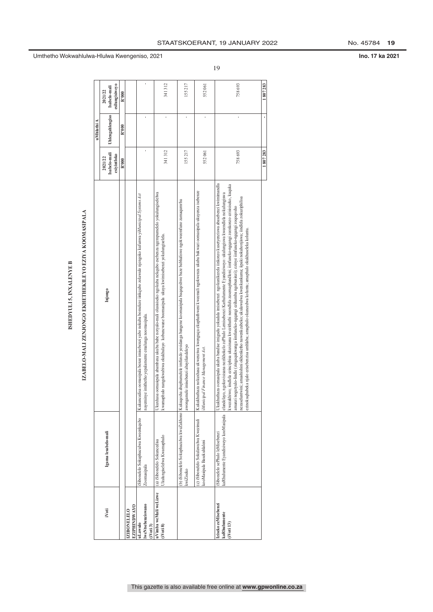### ISHEDYULI 5, INXALENYE B

## IZABELO-MALI ZENJONGO EKHETHEKILEYO EZIYA KOOMASIPALA

|                       |                                                                    | IZABELO-MALI ZENJONGO EKHETHEKILEYO EZIYA KOOMASIPALA<br>ISHEDYULI 5, INXALENYE B                                                                                                                                                                                                                                                                                                                                                                                                                                                                                                                                                                                                                                                                                                             |                                        |                 |                                           |
|-----------------------|--------------------------------------------------------------------|-----------------------------------------------------------------------------------------------------------------------------------------------------------------------------------------------------------------------------------------------------------------------------------------------------------------------------------------------------------------------------------------------------------------------------------------------------------------------------------------------------------------------------------------------------------------------------------------------------------------------------------------------------------------------------------------------------------------------------------------------------------------------------------------------|----------------------------------------|-----------------|-------------------------------------------|
|                       |                                                                    |                                                                                                                                                                                                                                                                                                                                                                                                                                                                                                                                                                                                                                                                                                                                                                                               |                                        | uMhlathi A      |                                           |
|                       | Igama lesabelo-mali                                                | Injongo                                                                                                                                                                                                                                                                                                                                                                                                                                                                                                                                                                                                                                                                                                                                                                                       | Isabelo-mali<br>esiyintloko<br>2021/22 | Uhlengahlengiso | esilungisiweyo<br>Isabelo-mali<br>2021/22 |
|                       |                                                                    |                                                                                                                                                                                                                                                                                                                                                                                                                                                                                                                                                                                                                                                                                                                                                                                               | R'000                                  | R'000           | R'000                                     |
|                       |                                                                    |                                                                                                                                                                                                                                                                                                                                                                                                                                                                                                                                                                                                                                                                                                                                                                                               |                                        |                 |                                           |
|                       | iSibonelelo Sokuphuculwa Kweenkqubo<br>Zoomasipala                 | Kukuncedisa oomasipala benze imisebenzi yabo nokuba bomeleze iinkqubo zolawulo njengoko kufunwa yiMunicipal Systems Act<br>ayeminye imithetho yepalamente emalunga noomasipala.                                                                                                                                                                                                                                                                                                                                                                                                                                                                                                                                                                                                               |                                        |                 |                                           |
| uVimba weMali weLizwe | Ukulungiselelwa Kwamaphulo<br>(a) iSibonelelo Sokuncedisa          | Jkuxhasa oomasipala abambaxa ukuba babe notyalo-mali olusisiseko ngokuba nekqubo esebenza ngempumelelo yokulungiselelwa<br>kwamaphulo nangokwabiwa okukhulayo kobuncwane boomasipala ukuya kwimisebenzi yokulungiselela.                                                                                                                                                                                                                                                                                                                                                                                                                                                                                                                                                                      | 341 312                                |                 | 341312                                    |
|                       | kwiZiseko                                                          | (b) iSibonelelo Sokuphuculwa kweZakhono   Kukuqesha abaphumelele imfundo yesidanga bangene koomasipala baqeqeshwe baze babhaliswe ngokweemfuno zamaqumrhu<br>awongamele imisebenzi abayifundeleyo                                                                                                                                                                                                                                                                                                                                                                                                                                                                                                                                                                                             | 155217                                 |                 | 155217                                    |
|                       | (c) iSibonelelo Sokulawulwa Kwezimali<br>kooMasipala Basekuhlaleni | Kukukhuthaza nokuxhasa ukwenziwa kwenguqu ekuphathweni kweemali ngokwenza ukuba bakwazi oomasipala ukuyenza isebenze<br>Municipal Finance Management Act.                                                                                                                                                                                                                                                                                                                                                                                                                                                                                                                                                                                                                                     | 552 061                                |                 | 552061                                    |
|                       | iSibonelelo sePhulo leMisebenzi                                    | Ukukhuthaza oomasipala ukuba bandise imigudu yokudala imisebenzi ngokunikezela iinkonzo kusetyenziswa abasebenzi kwimimandla<br>kwezakhiwo; iindlela ezinciphisa ukuxinana kwezithuthi neendlela zasemaphandleni; iimfuneko-ngqangi zeenkonzo ezisisiseko, kuquka<br>kaRhulumente Eyandisiweyo kooMasipala   danddayo, ngokuvisisana nezikhokelo zePhulo Lemisebenzi Karhulumente Eyandisiweyo: ukulungiswa kweendlela nokulungiswa<br>nezaseluntwini; amashishini okhenketho nawenkcubeko; ukulawulwa kwenkunkuma; iipaki nokuhonjiswa; iindlela zokuziphilisa<br>amanzi nogutyulo-lindle (zingaqukwanga iimfuneko-ngqangi ezihamba ngobuninzi); ezinye iimfuneko-ngqangi zoqoqosho<br>ezinokuqhubeka njalo ezisebenzisa umhlaba; amaphulo okuncedwa koluntu; amaphulo okukhuseleka koluntu. | 758 693                                |                 | 758693                                    |
|                       |                                                                    |                                                                                                                                                                                                                                                                                                                                                                                                                                                                                                                                                                                                                                                                                                                                                                                               | 1807283                                |                 | 1807283                                   |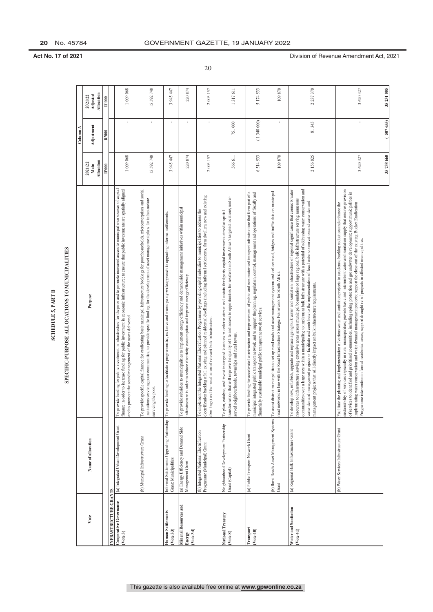| ≏              |  |
|----------------|--|
|                |  |
| ٨PT            |  |
| ≏              |  |
| ທ່             |  |
| Ë              |  |
|                |  |
| $\overline{1}$ |  |
|                |  |
|                |  |

### SPECIFIC-PURPOSE ALLOCATIONS TO MUNICIPALITIES

|                                                             |                                                                        | SPECIFIC-PURPOSE ALLOCATIONS TO MUNICIPALITIES<br>SCHEDULE 5, PART B                                                                                                                                                                                                                                                                                                                                                                                                                                                                                                                                                                                                                         |                               |              |                                          |
|-------------------------------------------------------------|------------------------------------------------------------------------|----------------------------------------------------------------------------------------------------------------------------------------------------------------------------------------------------------------------------------------------------------------------------------------------------------------------------------------------------------------------------------------------------------------------------------------------------------------------------------------------------------------------------------------------------------------------------------------------------------------------------------------------------------------------------------------------|-------------------------------|--------------|------------------------------------------|
|                                                             |                                                                        |                                                                                                                                                                                                                                                                                                                                                                                                                                                                                                                                                                                                                                                                                              |                               | Column A     |                                          |
| Vote                                                        | Name of allocation                                                     | Purpose                                                                                                                                                                                                                                                                                                                                                                                                                                                                                                                                                                                                                                                                                      | Allocation<br>2021/22<br>Main | Adjustment   | <b>Allocation</b><br>Adjusted<br>2021/22 |
|                                                             |                                                                        |                                                                                                                                                                                                                                                                                                                                                                                                                                                                                                                                                                                                                                                                                              | R'000                         | R'000        | $\overline{\mathbb{R}^{1000}}$           |
| INFRASTRUCTURE GRANTS<br>Cooperative Governance<br>(Vote 3) | (a) Integrated Urban Development Grant                                 | To provide funding for public investment in infrastructure for the poor and to promote increased access to municipal own sources of capital<br>finance in order to increase funding for public investment in economic infrastructure; to ensure that public investments are spatially aligned<br>and to promote the sound management of the assets delivered.                                                                                                                                                                                                                                                                                                                                | 1009068                       |              | 1 009 068                                |
|                                                             | (b) Municipal Infrastructure Grant                                     | To provide specific capital finance for endicating basic municipal infrastructure backlogs for poor households, microenterprises and social<br>institutions servicing poor communities; to provide specific funding for the devel<br>; the poor.<br>servicing                                                                                                                                                                                                                                                                                                                                                                                                                                | 15592748                      | $\mathbf{r}$ | 15 592 748                               |
| Human Settlements<br>( <i>Note</i> 33)                      | Informal Settlements Upgrading Partnership<br>Grant: Municipalities    | To provide funding to facilitate a programmatic, inclusive and municipality-wide approach to upgrading informal settlements.                                                                                                                                                                                                                                                                                                                                                                                                                                                                                                                                                                 | 3945447                       |              | 3 945 447                                |
| Mineral Resources and<br>(Vote 34)<br>Energy                | (a) Energy Efficiency and Demand Side<br>Management Grant              | To provide subsidies to municipalities to implement energy efficiency and demand side management initiatives within municipal<br>infrastructure in order to reduce electricity consumption and improve energy efficiency.                                                                                                                                                                                                                                                                                                                                                                                                                                                                    | 220874                        | $\mathbf{r}$ | 220874                                   |
|                                                             | (b) Integrated National Electrification<br>Programme (Municipal) Grant | electrification backlog of all existing and planned residential dwellings (including informal settlements, farm dwellers, new and existing<br>To implement the Integrated National Electrification Programme by providing capital subsidies to municipalities to address the<br>dwellings) and the installation of relevant bulk infrastructure.                                                                                                                                                                                                                                                                                                                                             | 2003157                       |              | 2 003 157                                |
| National Treasury<br>(Vote 8)                               | Neighbourhood Development Partnership<br>Grant (Capital)               | transformation that will improve the quality of life and access to opportunities for residents in South Africa's targeted locations, under-<br>To plan, catalyse, and invest in targeted locations in order to attract and sustain third party capital investments aimed at spatial<br>sighbourhoods, townships and rural towns.<br>served ne                                                                                                                                                                                                                                                                                                                                                | 566611                        | 751000       | 1317611                                  |
| <b>Transport</b><br>( <i>Note</i> 40)                       | (a) Public Transport Network Grant                                     | To provide funding for accelerated construction and improvement of public and non-motorised transport infrastructure that form part of a<br>municipal integrated public transport network and to support the planning, regulation<br>financially sustainable municipal public transport network services.                                                                                                                                                                                                                                                                                                                                                                                    | 6514533                       | (1340000)    | 5174533                                  |
|                                                             | (b) Rural Roads Asset Management Systems<br>Grant                      | To assist district municipalities to set up rural roads and asset management systems and collect road, bridges and traffic data on municipal<br>road networks in line with the Road Infrastructure Strategic Framework for South<br>To assist                                                                                                                                                                                                                                                                                                                                                                                                                                                | 109870                        |              | 109870                                   |
| Water and Sanitation<br>( <i>Note</i> 41)                   | (a) Regional Bulk Infrastructure Grant                                 | communities over a large area within a municipality; to implement bulk infrastructure with a potential of addressing water conservation and<br>To develop new, refurbish, upgrade and replace ageing bulk water and sanitation infrastructure of regional significance that connects water<br>resources to infrastructure serving extensive areas across municipal boundaries or large regional bulk infrastructure serving numerous<br>water demand management projects or facilitate and contribute to the implementation of local water conservation and water demand<br>nanagement projects that will directly impact on bulk infrastructure requirements.                               | 2156025                       | 81345        | 2237370                                  |
|                                                             | (b) Water Services Infrastructure Grant                                | sustainability of services especially in rural municipalities; provide basic and intermittent water and sanitation supply that ensures provision<br>of services to identified and prioritised communities, including spring protection and groundwater development; support municipalities in<br>implementing water conservation and water demand management projects; support the close-out of the existing Bucket Eradication<br>the planning and implementation of various water and sanitation projects to accelerate backlog reduction and enhance the<br>Programme intervention in formal residential areas; support drought relief projects in affected municipalities.<br>Facilitate | 3620327                       |              | 3620327                                  |
|                                                             |                                                                        |                                                                                                                                                                                                                                                                                                                                                                                                                                                                                                                                                                                                                                                                                              | 35738660                      | 5076551      | 35231005                                 |

20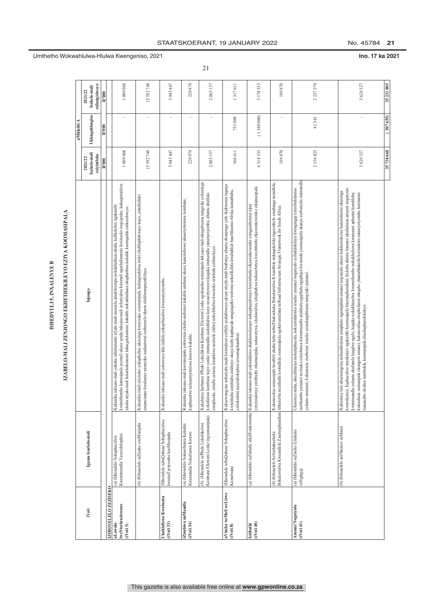ISHEDYULI 5, INXALENYE B

**iVoti IZIBONELELO ZEZISEKO uLawulo lweNtsebenziswano (iVoti 3)** (a) iSibonelelo Sokuphuculwa Kwemimandla Yasezidolophini Kukunika inkxaso-mali yokuba urhulumente atyale imali esenzela amahlwempu nokukhuthaza ukuba kufikelelwe ngakumbi kwimithombo kamasipala yeemali ukuze yande inkxaso-mali yokutyalwa kwemali ngurhulumente kwiziseko zoqoqosho; kukuqinisekisa ukuba utyalo-mali lukarhulumente lulungelelaniswe kakuhle nokukhuthaza ukuphathwa kakuhle kwempahla enikezelweyo. 1 009 068 - 1 009 068 (b) iSibonelelo seZiseko zooMasipala Kukunika imali esisiseko yokuphelisa ukuxinga kweziseko zoomasipala, kulungiselelwa imizi ekuhluphekwayo kuyo, amashishini amancinane kwakunye namaziko aseluntwini asebenzela uluntu oluhlwempuzeklileyo. 15 592 748 - 15 592 748 **Ukuhlaliswa Kwabantu (iVoti 33)** iSibonelelo sobuQabane Sokuphuculwa kwamaTyotyombe kooMasipala Kukunika inkxaso-mali yokwenza lula indlela yokuphuculwa kwamatyotyombe. 3 945 447 - 3 945 447 **iZimbiwa naMandla (iVoti 34)** (a) iSibonelelo Sokusebenza Kakuhle Kwamandla Nokufunwa Kwawo Kukunika inkxaso-mali koomasipala yokwenza ukuba usebenze kakuhle umbane ukuze kuncitshiswe ukusetyenziswa kombane, kuphuculwe nokusetyenziswa kwawo kakuhle. 220 874 - 220 874 (b) iSibonelelo sePhulo Lokufakelwa Kombane Elizweni Lonke (ngoomasipala) Kukulenza lisebenze iPhulo Lokufakwa Kombane Elizweni Lonke ngokunika oomasipala inkxaso-mali ukuqubisana nengxaki yokuxinga kokufakwa kombane kuyo yonke imimandla esekuhlalwa kuyo nesacetywayo (kuquka imimandla yamatyotyombe, abantu abahlala emaplasini, izindlu eziseza kwakhiwa nezisele zikho) nokufakelwa kwezisko ezinkulu ezifunekayo. 2 003 157 - 2 003 157 **uVimba weMali weLizwe (iVoti 8)** iSibonelelo sobuQabane Sokuphuculwa Komelwane Kukucwangcisa nokutyala imali kwiindawo ezithile ezalathiweyo ukuze utyalo-mali lwabanye abantu abanjongo yalo ikukwenza inguqu kwisithuba somhlaba esikhoyo okuya kuthi kuphucule umgangatho wobomi nokufikelela kwabahlali baseMzantsi-Afrika kumathuba, ezilokishini nasezidolophini ezisemaphandleni. 566 611 751 000 1 317 611 **Izithuthi (iVoti 40)** (a) iSibonelelo seZithuthi zikaWonkewonke Kukunika inkxaso-mali yokwakhiwa okukhawulezayo nokuphuculiweyo kwezithuthi zikawonkewonke ezingasebenzisi njini eziyinxalenye yezithuthi zikamasipala, nokucetywa, ukulawulwa, ukuphahwa nokusebenza kwezithuthi zikawonkewonke zikamasipala. 6 514 533 ( 1 340 000) 5 174 533 (b) iSibonelelo Sobuxhakaxhaka Bokulawulwa Kweendlela Zasemaphandleni Kukuncedisa oomasipala besithili ukuba babe nobuXhakaxhaka Bokulawulwa Kwendlela nokuqokelela ingcombolo emalunga neendlela, iibhulorhu nezithuthi kwiindlela zoomasipala ngokuvumelana neRoad Infrastructure Strategic Framework for South Africa. 109 870 - 109 870 **Amanzi Nogutyulo (iVoti 41)** (a) iSibonelelo seZiseko Ezinkulu zeNgingqi Ukuzenza ntsha, ukuzihlaziya nokuziphucula, nokuzitshintsha iziseko zamanzi nogutyulo ezibalulekileyo kwingingqi ezinxibelelanisa imithombo yamanzi neziseko ezisebenza kwimimandla emikhulu egqithela ngaphaya kwemida yoomasipala okanye esebenzela imimandla yoluntu emininzi; kukuzenza zisebenze iziseko ezinokuqubisana nengxaki yamanzi. 2 156 025 81 345 2 237 370 (b) iSibonelelo seeNkonzo zaManzi Kukwenza lula ukucwangcisa nokusebenzisa amaphulo ngamaphulo amanzi nogutyulo ukuze kukhawulezwe kuncitshiswe ukuxinga kweenkonzo, kuphuculwe neenkonzo ngakumbi koomasipala basemaphandleni; kukuba abantu bamane ukufumana amanzi nogutyulo kwimimandla yoluntu ekufanele kuqalwe ngalo, kuquka nokukhuselwa kwemithombo nokukhuliswa kwamanzi aphantsi komhlaba; kukuxhasa oomasipala ekongeni amanzi; kukuncedisa ekupheliseni inkqubo yhamabhakethi kwiindawo zamatyotyombe, kuxhaswe namacebo okulwa nembalela koomasipala abachaphazelekileyo. 3 620 327 - 3 620 327 **35 738 660 ( 507 655) 35 231 005**  ISHEDVULI 5, INXALENYE B<br>IZABELO-MALI ZENJONGO EKHETHEKILEYO EZIYA KOOMASIPALA<br>Injongo<br>Injongo<br>Injongo Injongo Injongo Romani (Dhengahengšo Isabelani Ulikogahengšo Isabelani uMhlathi **Igama lesabelo-mali**

### IZABELO-MALI ZENJONGO EKHETHEKILEYO EZIYA KOOMASIPALA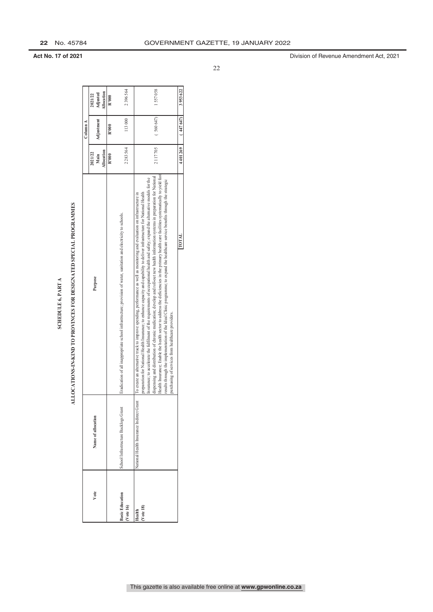| т      |  |
|--------|--|
|        |  |
| ś<br>٥ |  |
| ŗ<br>ċ |  |
|        |  |

## ALLOCATIONS-IN-KIND TO PROVINCES FOR DESIGNATED SPECIAL PROGRAMMES

|                                    | ₫                                        | LLOCATIONS-IN-KIND TO PROVINCES FOR DESIGNATED SPECIAL PROGRAMMES                                                                                                                                                                                                                                                                                                                                                                                                                                                                                                                                                                                                                                                                                                                                                                                                              |                               |                   |                                   |
|------------------------------------|------------------------------------------|--------------------------------------------------------------------------------------------------------------------------------------------------------------------------------------------------------------------------------------------------------------------------------------------------------------------------------------------------------------------------------------------------------------------------------------------------------------------------------------------------------------------------------------------------------------------------------------------------------------------------------------------------------------------------------------------------------------------------------------------------------------------------------------------------------------------------------------------------------------------------------|-------------------------------|-------------------|-----------------------------------|
|                                    |                                          |                                                                                                                                                                                                                                                                                                                                                                                                                                                                                                                                                                                                                                                                                                                                                                                                                                                                                |                               | $_{\rm Column A}$ |                                   |
| Vote                               | Name of allocation                       | Purpose                                                                                                                                                                                                                                                                                                                                                                                                                                                                                                                                                                                                                                                                                                                                                                                                                                                                        | Allocation<br>2021/22<br>Main | Adjustment        | Allocation<br>Adjusted<br>2021/22 |
|                                    |                                          |                                                                                                                                                                                                                                                                                                                                                                                                                                                                                                                                                                                                                                                                                                                                                                                                                                                                                | R'000                         | R'000             | R'000                             |
| <b>Basic Education</b><br>Vote 16) | School Infrastructure Backlogs Grant     | Eradication of all inappropriate school infrastructure; provision of water, sanitation and electricity to schools.                                                                                                                                                                                                                                                                                                                                                                                                                                                                                                                                                                                                                                                                                                                                                             | 2283564                       | 113000            | 2 396 564                         |
| Vote 18)<br>Health                 | National Health Insurance Indirect Grant | Health Insurance; Enable the health sector to address the deficiencies in the primary health care facilities systematically to yield fast<br>dispensing and distribution of chronic medication; develop and roll-out new health information systems in preparation for National<br>Insurance; to accelerate the fulfilment of the requirements of occupational health and safety; expand the alternative models for the<br>results through the implementation of the Ideal Clinic programme; to expand the healthcare service benefits through the strategic<br>preparation for National Health Insurance; to enhance capacity and capability to deliver infrastructure for National Health<br>l'o create an alternative track to improve spending, performance as well as monitoring and evaluation on infrastructure in<br>purchasing of services from healthcare providers. | 2117705                       | (560647)          | 1557058                           |
|                                    |                                          | <b>INIOL</b>                                                                                                                                                                                                                                                                                                                                                                                                                                                                                                                                                                                                                                                                                                                                                                                                                                                                   | 4401269                       | (447647)          | 3953622                           |

**Act No. 17 of 2021 Division of Revenue Amendment Act, 2021**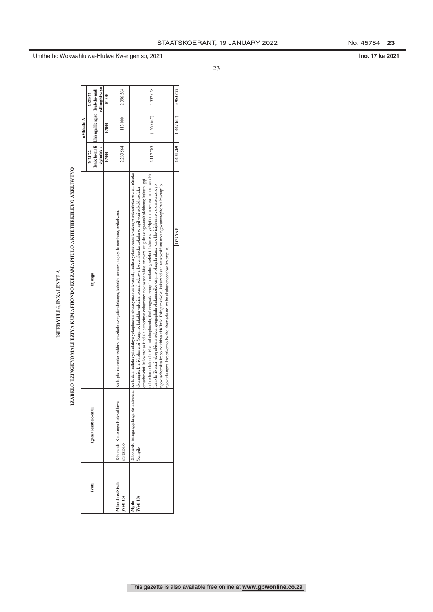| ٥      |
|--------|
|        |
|        |
| ś<br>6 |
| i      |
|        |
| ֠      |
|        |

# IZABBLO EZINGEYOMALI EZIYA KUMAPHONDO IZEZAMAPHULO AKHETHEKILEYO AXELIWEYO

|                               |                                              | ISHEDYULI 6, INXALENYE A                                                                                                                                                                                                                                                                                                                                                                                                                                                                                                                                                                                                                                                                                                                                                                                                                                        |             |                                          |                |
|-------------------------------|----------------------------------------------|-----------------------------------------------------------------------------------------------------------------------------------------------------------------------------------------------------------------------------------------------------------------------------------------------------------------------------------------------------------------------------------------------------------------------------------------------------------------------------------------------------------------------------------------------------------------------------------------------------------------------------------------------------------------------------------------------------------------------------------------------------------------------------------------------------------------------------------------------------------------|-------------|------------------------------------------|----------------|
|                               |                                              | IZABELO EZINGEYOMALI EZIYA KUMAPHONDO IZEZAMAPHULO AKHETHEKILEYO AXELIWEYO                                                                                                                                                                                                                                                                                                                                                                                                                                                                                                                                                                                                                                                                                                                                                                                      |             |                                          |                |
|                               |                                              |                                                                                                                                                                                                                                                                                                                                                                                                                                                                                                                                                                                                                                                                                                                                                                                                                                                                 |             | uMhlathi A                               |                |
| iVoti                         | Igama lesabelo-mali                          | Injongo                                                                                                                                                                                                                                                                                                                                                                                                                                                                                                                                                                                                                                                                                                                                                                                                                                                         | 2021/22     |                                          | 2021/22        |
|                               |                                              |                                                                                                                                                                                                                                                                                                                                                                                                                                                                                                                                                                                                                                                                                                                                                                                                                                                                 |             | Isabelo-mali Uhlengahlengis Isabelo-mali |                |
|                               |                                              |                                                                                                                                                                                                                                                                                                                                                                                                                                                                                                                                                                                                                                                                                                                                                                                                                                                                 | esivintloko |                                          | esilungisiwevo |
|                               |                                              |                                                                                                                                                                                                                                                                                                                                                                                                                                                                                                                                                                                                                                                                                                                                                                                                                                                                 | R'000       | R'000                                    | R'000          |
| Mfundo esiSiseko<br>iVoti 16) | Sibonelelo Sokuxinga Kokwakhiwa<br>Kwezikolo | Kukuphelisa zonke izakhiwo zezikolo ezingafanelekanga, kubekho amanzi, ugutyulo nombane, ezikolweni.                                                                                                                                                                                                                                                                                                                                                                                                                                                                                                                                                                                                                                                                                                                                                            | 2 283 564   | 113000                                   | 2 396 564      |
| liMpilo<br>(iVoti 18)         | Yempilo                                      | nobuxhakaxhaka obutsha nokubuphucula, ibobeengxaki zempilo nokulungiselela i-Inshorensi yeMpilo; kukwenza ukuba icandelo<br>iSibonelelo Esingangqalanga Se-Inshorensi  Kukudala indlela eyahlukileyo yokuphucula ukusetyernziswa kwemali, indlela yokusebenza kwakunye nokuzibeka esweni iZiseko<br>emsebenzini; kukwandisa iindlela ezizezinye zokuwenza nokuwahambisa amayeza ezigulo ezingoomahlalekhona; kukuthi gqi<br>lempilo likwazi  ukuqubisana nokunqongophala okukumaziko empilo okuqala ukuze kubekho iziphumio ezikhawulezileyo<br>ngokusebenzisa icebo ekuthiwa ziiKliniki Ezingumzekelo; kukuzandisa iinzuzo ezifumaneka ngokunonophelwa kwempilo<br>ukulungiselela i-Inshorensi Yempilo, kukukhawulezisa ukuzalisekiswa kweemfuneko zokuba sempilweni nokukhuseleka<br>ngokuthengwa kweenkonzo kwabo abamsebenzi wabo ukukunonophelwa kwempilo. | 2117705     | (560647)                                 | 1557058        |
|                               |                                              | <b>INONKE</b>                                                                                                                                                                                                                                                                                                                                                                                                                                                                                                                                                                                                                                                                                                                                                                                                                                                   | 4401269     | (447647)                                 | 3953622        |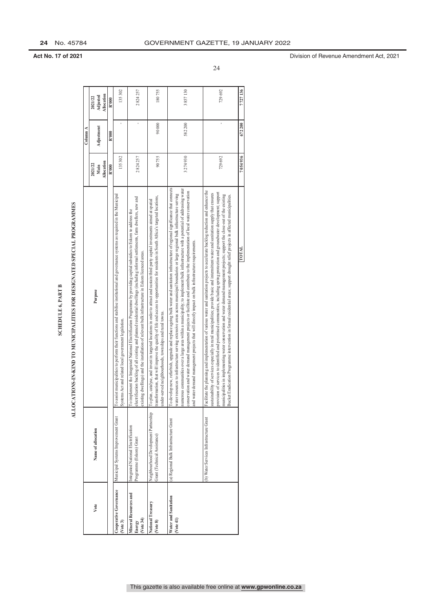# ALLOCATIONS-IN-KIND TO MUNICIPALITIES FOR DESIGNATED SPECIAL PROGRAMMES

|                                            |                                                                       | <b>SCHEDULE 6, PART B</b>                                                                                                                                                                                                                                                                                                                                                                                                                                                                                                                                                                                                                                                                 |                               |            |                                 |    |
|--------------------------------------------|-----------------------------------------------------------------------|-------------------------------------------------------------------------------------------------------------------------------------------------------------------------------------------------------------------------------------------------------------------------------------------------------------------------------------------------------------------------------------------------------------------------------------------------------------------------------------------------------------------------------------------------------------------------------------------------------------------------------------------------------------------------------------------|-------------------------------|------------|---------------------------------|----|
|                                            |                                                                       | ALLOCATIONS-IN-KIND TO MUNICIPALITIES FOR DESIGNATED SPECIAL PROGRAMMES                                                                                                                                                                                                                                                                                                                                                                                                                                                                                                                                                                                                                   |                               |            |                                 |    |
|                                            |                                                                       |                                                                                                                                                                                                                                                                                                                                                                                                                                                                                                                                                                                                                                                                                           |                               | Column A   |                                 |    |
| Vote                                       | Name of allocation                                                    | Purpose                                                                                                                                                                                                                                                                                                                                                                                                                                                                                                                                                                                                                                                                                   | Allocation<br>2021/22<br>Main | Adjustment | Mocation<br>Adjusted<br>2021/22 |    |
|                                            |                                                                       |                                                                                                                                                                                                                                                                                                                                                                                                                                                                                                                                                                                                                                                                                           | R'000                         | R'000      | R'000                           |    |
| Cooperative Governance<br>(Vote 3)         | Municipal Systems Improvement Grant                                   | Io assist municipalities to perform their functions and stabilise institutional and governance systems as required in the Municipal<br>Systems Act and related local government legislation.                                                                                                                                                                                                                                                                                                                                                                                                                                                                                              | 135 302                       |            | 135302                          |    |
| Mineral Resources and<br>Note 34<br>Energy | Integrated National Electrification<br>Programme (Eskom) Grant        | electrification backlog of all existing and planned residential dwellings (including informal settlements, farm dwellers, new and<br>To implement the Integrated National Electrification Programme by providing capital subsidies to Eskom to address the<br>existing dwellings) and the installation of relevant bulk infrastructure in Eskom licenced areas.                                                                                                                                                                                                                                                                                                                           | 2824257                       |            | 2824257                         |    |
| National Treasury<br>(Vote 8)              | Neighbourhood Development Partnership<br>Grant (Technical Assistance) | transformation, that will improve the quality of life and access to opportunities for residents in South Africa's targeted locations,<br>To plan, catalyse, and invest in targeted locations in order to attract and sustain third party capital investments aimed at spatial<br>under-served neighbourhoods, townships and rural towns.                                                                                                                                                                                                                                                                                                                                                  | 90755                         | 90000      | 180755                          |    |
| Water and Sanitation<br>( <i>Note</i> 41)  | (a) Regional Bulk Infrastructure Grant                                | To develop new, refurbish, upgrade and replace ageing bulk water and sanitation infrastructure of regional significance that connects<br>communities over a large area within a municipality; to implement bulk infrastructure with a potential of addressing water<br>conservation and water demand management projects or facilitate and contribute to the implementation of local water conservation<br>water resources to infrastructure serving extensive areas across municipal boundaries or large regional bulk infrastructure serving<br>demand management projects that will directly impact on bulk infrastructure requirements.<br>numerous<br>and water                      | 3274930                       | 582 200    | 3857130                         |    |
|                                            | (b) Water Services Infrastructure Grant                               | Facilitate the planning and implementation of various water and sanitation projects to accelerate backlog reduction and enhance the<br>provision of services to identified and prioritised communities, including spring protection and groundwater development; support<br>sustainability of services especially in rural municipalities; provide basic and intermittent water and sanitation supply that ensures<br>municipalities in implementing water conservation and water demand management projects; support the close-out of the existing<br>Bucket Eradication Programme intervention in formal residential areas; support drought relief projects in affected municipalities. | 729 692                       |            | 729692                          | 24 |
|                                            |                                                                       | <b>TOTAL</b>                                                                                                                                                                                                                                                                                                                                                                                                                                                                                                                                                                                                                                                                              | 7054936                       | 672200     | 7727136                         |    |